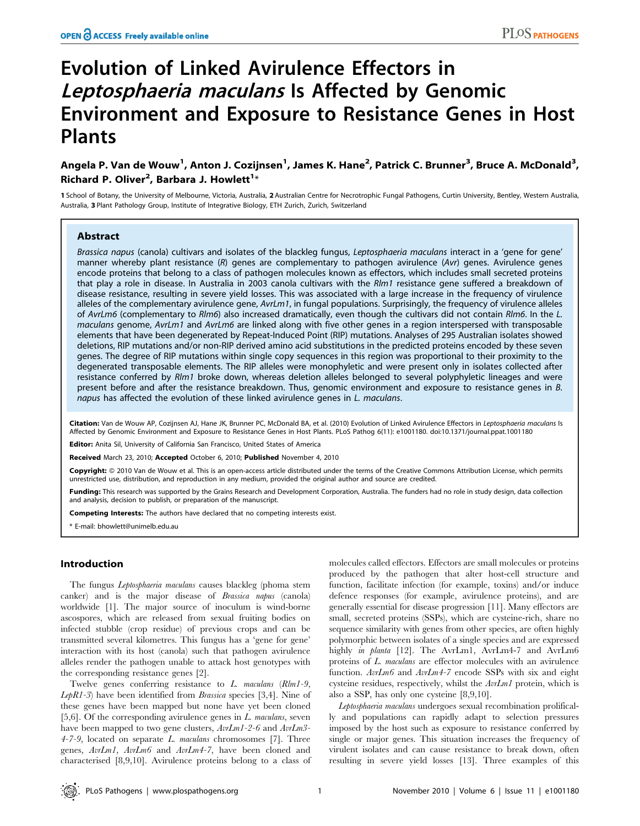# Evolution of Linked Avirulence Effectors in Leptosphaeria maculans Is Affected by Genomic Environment and Exposure to Resistance Genes in Host Plants

# Angela P. Van de Wouw<sup>1</sup>, Anton J. Cozijnsen<sup>1</sup>, James K. Hane<sup>2</sup>, Patrick C. Brunner<sup>3</sup>, Bruce A. McDonald<sup>3</sup>, Richard P. Oliver<sup>2</sup>, Barbara J. Howlett<sup>1</sup>\*

1 School of Botany, the University of Melbourne, Victoria, Australia, 2 Australian Centre for Necrotrophic Fungal Pathogens, Curtin University, Bentley, Western Australia, Australia, 3 Plant Pathology Group, Institute of Integrative Biology, ETH Zurich, Zurich, Switzerland

## Abstract

Brassica napus (canola) cultivars and isolates of the blackleg fungus, Leptosphaeria maculans interact in a 'gene for gene' manner whereby plant resistance (R) genes are complementary to pathogen avirulence (Avr) genes. Avirulence genes encode proteins that belong to a class of pathogen molecules known as effectors, which includes small secreted proteins that play a role in disease. In Australia in 2003 canola cultivars with the Rlm1 resistance gene suffered a breakdown of disease resistance, resulting in severe yield losses. This was associated with a large increase in the frequency of virulence alleles of the complementary avirulence gene,  $Avrlm1$ , in fungal populations. Surprisingly, the frequency of virulence alleles of AvrLm6 (complementary to Rlm6) also increased dramatically, even though the cultivars did not contain Rlm6. In the L. maculans genome, AvrLm1 and AvrLm6 are linked along with five other genes in a region interspersed with transposable elements that have been degenerated by Repeat-Induced Point (RIP) mutations. Analyses of 295 Australian isolates showed deletions, RIP mutations and/or non-RIP derived amino acid substitutions in the predicted proteins encoded by these seven genes. The degree of RIP mutations within single copy sequences in this region was proportional to their proximity to the degenerated transposable elements. The RIP alleles were monophyletic and were present only in isolates collected after resistance conferred by Rlm1 broke down, whereas deletion alleles belonged to several polyphyletic lineages and were present before and after the resistance breakdown. Thus, genomic environment and exposure to resistance genes in B. napus has affected the evolution of these linked avirulence genes in L. maculans.

Citation: Van de Wouw AP, Cozijnsen AJ, Hane JK, Brunner PC, McDonald BA, et al. (2010) Evolution of Linked Avirulence Effectors in Leptosphaeria maculans Is Affected by Genomic Environment and Exposure to Resistance Genes in Host Plants. PLoS Pathog 6(11): e1001180. doi:10.1371/journal.ppat.1001180

Editor: Anita Sil, University of California San Francisco, United States of America

Received March 23, 2010; Accepted October 6, 2010; Published November 4, 2010

Copyright: © 2010 Van de Wouw et al. This is an open-access article distributed under the terms of the Creative Commons Attribution License, which permits unrestricted use, distribution, and reproduction in any medium, provided the original author and source are credited.

Funding: This research was supported by the Grains Research and Development Corporation, Australia. The funders had no role in study design, data collection and analysis, decision to publish, or preparation of the manuscript.

Competing Interests: The authors have declared that no competing interests exist.

\* E-mail: bhowlett@unimelb.edu.au

## Introduction

The fungus Leptosphaeria maculans causes blackleg (phoma stem canker) and is the major disease of Brassica napus (canola) worldwide [1]. The major source of inoculum is wind-borne ascospores, which are released from sexual fruiting bodies on infected stubble (crop residue) of previous crops and can be transmitted several kilometres. This fungus has a 'gene for gene' interaction with its host (canola) such that pathogen avirulence alleles render the pathogen unable to attack host genotypes with the corresponding resistance genes [2].

Twelve genes conferring resistance to L. maculans (Rlm1-9, *LepR1-3*) have been identified from *Brassica* species  $[3,4]$ . Nine of these genes have been mapped but none have yet been cloned [5,6]. Of the corresponding avirulence genes in  $L$ . maculans, seven have been mapped to two gene clusters,  $AvrLm1-2-6$  and  $AvrLm3 4-7-9$ , located on separate L. maculans chromosomes [7]. Three genes, AvrLm1, AvrLm6 and AvrLm4-7, have been cloned and characterised [8,9,10]. Avirulence proteins belong to a class of molecules called effectors. Effectors are small molecules or proteins produced by the pathogen that alter host-cell structure and function, facilitate infection (for example, toxins) and/or induce defence responses (for example, avirulence proteins), and are generally essential for disease progression [11]. Many effectors are small, secreted proteins (SSPs), which are cysteine-rich, share no sequence similarity with genes from other species, are often highly polymorphic between isolates of a single species and are expressed highly *in planta* [12]. The AvrLm1, AvrLm4-7 and AvrLm6 proteins of L. maculans are effector molecules with an avirulence function. AvrLm6 and AvrLm4-7 encode SSPs with six and eight cysteine residues, respectively, whilst the AvrLm1 protein, which is also a SSP, has only one cysteine [8,9,10].

Leptosphaeria maculans undergoes sexual recombination prolifically and populations can rapidly adapt to selection pressures imposed by the host such as exposure to resistance conferred by single or major genes. This situation increases the frequency of virulent isolates and can cause resistance to break down, often resulting in severe yield losses [13]. Three examples of this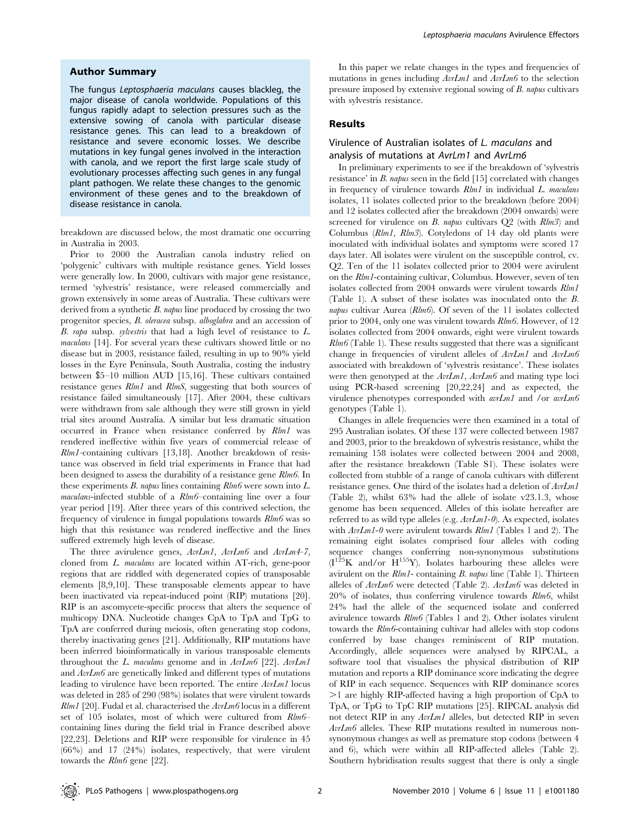### Author Summary

The fungus Leptosphaeria maculans causes blackleg, the major disease of canola worldwide. Populations of this fungus rapidly adapt to selection pressures such as the extensive sowing of canola with particular disease resistance genes. This can lead to a breakdown of resistance and severe economic losses. We describe mutations in key fungal genes involved in the interaction with canola, and we report the first large scale study of evolutionary processes affecting such genes in any fungal plant pathogen. We relate these changes to the genomic environment of these genes and to the breakdown of disease resistance in canola.

breakdown are discussed below, the most dramatic one occurring in Australia in 2003.

Prior to 2000 the Australian canola industry relied on 'polygenic' cultivars with multiple resistance genes. Yield losses were generally low. In 2000, cultivars with major gene resistance, termed 'sylvestris' resistance, were released commercially and grown extensively in some areas of Australia. These cultivars were derived from a synthetic  $B$ . *napus* line produced by crossing the two progenitor species, B. oleracea subsp. alboglabra and an accession of B. rapa subsp. sylvestris that had a high level of resistance to L. maculans [14]. For several years these cultivars showed little or no disease but in 2003, resistance failed, resulting in up to 90% yield losses in the Eyre Peninsula, South Australia, costing the industry between \$5–10 million AUD [15,16]. These cultivars contained resistance genes Rlm1 and RlmS, suggesting that both sources of resistance failed simultaneously [17]. After 2004, these cultivars were withdrawn from sale although they were still grown in yield trial sites around Australia. A similar but less dramatic situation occurred in France when resistance conferred by Rlm1 was rendered ineffective within five years of commercial release of Rlm1-containing cultivars [13,18]. Another breakdown of resistance was observed in field trial experiments in France that had been designed to assess the durability of a resistance gene Rlm6. In these experiments B. napus lines containing Rlm6 were sown into L. maculans-infected stubble of a Rlm6–containing line over a four year period [19]. After three years of this contrived selection, the frequency of virulence in fungal populations towards Rlm6 was so high that this resistance was rendered ineffective and the lines suffered extremely high levels of disease.

The three avirulence genes,  $AvrLm1$ ,  $AvrLm6$  and  $AvrLm4-7$ , cloned from L. maculans are located within AT-rich, gene-poor regions that are riddled with degenerated copies of transposable elements [8,9,10]. These transposable elements appear to have been inactivated via repeat-induced point (RIP) mutations [20]. RIP is an ascomycete-specific process that alters the sequence of multicopy DNA. Nucleotide changes CpA to TpA and TpG to TpA are conferred during meiosis, often generating stop codons, thereby inactivating genes [21]. Additionally, RIP mutations have been inferred bioinformatically in various transposable elements throughout the L. maculans genome and in  $AvLm6$  [22].  $AvLm1$ and AvrLm6 are genetically linked and different types of mutations leading to virulence have been reported. The entire AvrLm1 locus was deleted in 285 of 290 (98%) isolates that were virulent towards  $Rlm1$  [20]. Fudal et al. characterised the  $AvLm6$  locus in a different set of 105 isolates, most of which were cultured from Rlm6– containing lines during the field trial in France described above [22,23]. Deletions and RIP were responsible for virulence in 45 (66%) and 17 (24%) isolates, respectively, that were virulent towards the Rlm6 gene [22].

In this paper we relate changes in the types and frequencies of mutations in genes including  $AvLm1$  and  $AvLm6$  to the selection pressure imposed by extensive regional sowing of B. napus cultivars with sylvestris resistance.

# Results

# Virulence of Australian isolates of L. maculans and analysis of mutations at AvrLm1 and AvrLm6

In preliminary experiments to see if the breakdown of 'sylvestris resistance' in B. napus seen in the field [15] correlated with changes in frequency of virulence towards  $Rlm1$  in individual  $L$ . maculans isolates, 11 isolates collected prior to the breakdown (before 2004) and 12 isolates collected after the breakdown (2004 onwards) were screened for virulence on  $B$ . napus cultivars  $Q2$  (with  $R/m3$ ) and Columbus (Rlm1, Rlm3). Cotyledons of 14 day old plants were inoculated with individual isolates and symptoms were scored 17 days later. All isolates were virulent on the susceptible control, cv. Q2. Ten of the 11 isolates collected prior to 2004 were avirulent on the Rlm1-containing cultivar, Columbus. However, seven of ten isolates collected from 2004 onwards were virulent towards Rlm1 (Table 1). A subset of these isolates was inoculated onto the B. napus cultivar Aurea ( $Rlm6$ ). Of seven of the 11 isolates collected prior to 2004, only one was virulent towards Rlm6. However, of 12 isolates collected from 2004 onwards, eight were virulent towards  $Rlm6$  (Table 1). These results suggested that there was a significant change in frequencies of virulent alleles of  $AvrLm1$  and  $AvrLm6$ associated with breakdown of 'sylvestris resistance'. These isolates were then genotyped at the  $AvLm1$ ,  $AvLm6$  and mating type loci using PCR-based screening [20,22,24] and as expected, the virulence phenotypes corresponded with  $avLm1$  and /or  $avLm6$ genotypes (Table 1).

Changes in allele frequencies were then examined in a total of 295 Australian isolates. Of these 137 were collected between 1987 and 2003, prior to the breakdown of sylvestris resistance, whilst the remaining 158 isolates were collected between 2004 and 2008, after the resistance breakdown (Table S1). These isolates were collected from stubble of a range of canola cultivars with different resistance genes. One third of the isolates had a deletion of AvrLm1 (Table 2), whilst 63% had the allele of isolate v23.1.3, whose genome has been sequenced. Alleles of this isolate hereafter are referred to as wild type alleles (e.g.  $AvIm1-0$ ). As expected, isolates with  $AvrLm1-0$  were avirulent towards  $Rlm1$  (Tables 1 and 2). The remaining eight isolates comprised four alleles with coding sequence changes conferring non-synonymous substitutions  $(I^{125}K$  and/or  $H^{155}Y$ ). Isolates harbouring these alleles were avirulent on the  $Rlm1$ - containing B. napus line (Table 1). Thirteen alleles of AvrLm6 were detected (Table 2). AvrLm6 was deleted in  $20\%$  of isolates, thus conferring virulence towards  $R/m6$ , whilst 24% had the allele of the sequenced isolate and conferred avirulence towards Rlm6 (Tables 1 and 2). Other isolates virulent towards the Rlm6-containing cultivar had alleles with stop codons conferred by base changes reminiscent of RIP mutation. Accordingly, allele sequences were analysed by RIPCAL, a software tool that visualises the physical distribution of RIP mutation and reports a RIP dominance score indicating the degree of RIP in each sequence. Sequences with RIP dominance scores .1 are highly RIP-affected having a high proportion of CpA to TpA, or TpG to TpC RIP mutations [25]. RIPCAL analysis did not detect RIP in any AvrLm1 alleles, but detected RIP in seven AvrLm6 alleles. These RIP mutations resulted in numerous nonsynonymous changes as well as premature stop codons (between 4 and 6), which were within all RIP-affected alleles (Table 2). Southern hybridisation results suggest that there is only a single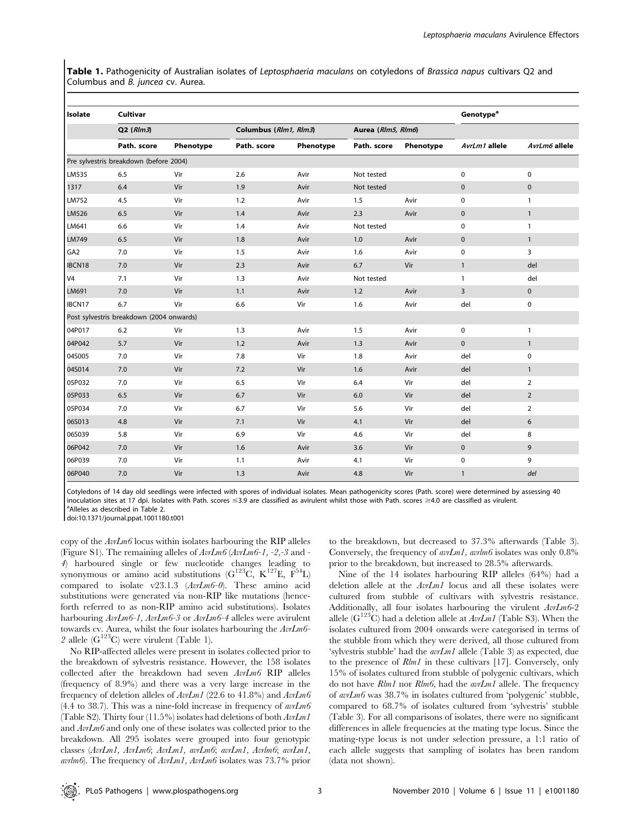Table 1. Pathogenicity of Australian isolates of Leptosphaeria maculans on cotyledons of Brassica napus cultivars Q2 and Columbus and B. juncea cv. Aurea.

| Isolate         | Cultivar                                 |           | <b>Genotype<sup>a</sup></b> |                       |             |                    |                |                |
|-----------------|------------------------------------------|-----------|-----------------------------|-----------------------|-------------|--------------------|----------------|----------------|
|                 | $Q2$ ( $Rlm3$ )                          |           |                             | Columbus (Rlm1, Rlm3) |             | Aurea (Rlm5, Rlm6) |                |                |
|                 | Path. score                              | Phenotype | Path. score                 | Phenotype             | Path. score | Phenotype          | AvrLm1 allele  | AvrLm6 allele  |
|                 | Pre sylvestris breakdown (before 2004)   |           |                             |                       |             |                    |                |                |
| LM535           | 6.5                                      | Vir       | 2.6                         | Avir                  | Not tested  |                    | 0              | $\mathbf 0$    |
| 1317            | 6.4                                      | Vir       | 1.9                         | Avir                  | Not tested  |                    | $\pmb{0}$      | $\mathbf 0$    |
| LM752           | 4.5                                      | Vir       | 1.2                         | Avir                  | 1.5         | Avir               | 0              | $\mathbf{1}$   |
| LM526           | 6.5                                      | Vir       | 1.4                         | Avir                  | 2.3         | Avir               | $\mathbf 0$    | $\mathbf{1}$   |
| LM641           | 6.6                                      | Vir       | 1.4                         | Avir                  | Not tested  |                    | 0              | $\mathbf{1}$   |
| LM749           | 6.5                                      | Vir       | 1.8                         | Avir                  | 1.0         | Avir               | $\pmb{0}$      | $\mathbf{1}$   |
| GA <sub>2</sub> | 7.0                                      | Vir       | 1.5                         | Avir                  | 1.6         | Avir               | 0              | 3              |
| IBCN18          | 7.0                                      | Vir       | 2.3                         | Avir                  | 6.7         | Vir                | $\mathbf{1}$   | del            |
| V <sub>4</sub>  | 7.1                                      | Vir       | 1.3                         | Avir                  | Not tested  |                    | $\mathbf{1}$   | del            |
| LM691           | 7.0                                      | Vir       | 1.1                         | Avir                  | 1.2         | Avir               | $\overline{3}$ | $\pmb{0}$      |
| IBCN17          | 6.7                                      | Vir       | 6.6                         | Vir                   | 1.6         | Avir               | del            | $\pmb{0}$      |
|                 | Post sylvestris breakdown (2004 onwards) |           |                             |                       |             |                    |                |                |
| 04P017          | 6.2                                      | Vir       | 1.3                         | Avir                  | 1.5         | Avir               | 0              | $\mathbf{1}$   |
| 04P042          | 5.7                                      | Vir       | 1.2                         | Avir                  | 1.3         | Avir               | $\pmb{0}$      | $\mathbf{1}$   |
| 04S005          | 7.0                                      | Vir       | 7.8                         | Vir                   | 1.8         | Avir               | del            | $\pmb{0}$      |
| 04S014          | 7.0                                      | Vir       | 7.2                         | Vir                   | 1.6         | Avir               | del            | $\mathbf{1}$   |
| 05P032          | 7.0                                      | Vir       | 6.5                         | Vir                   | 6.4         | Vir                | del            | $\overline{2}$ |
| 05P033          | 6.5                                      | Vir       | 6.7                         | Vir                   | 6.0         | Vir                | del            | $\overline{2}$ |
| 05P034          | 7.0                                      | Vir       | 6.7                         | Vir                   | 5.6         | Vir                | del            | $\overline{2}$ |
| 06S013          | 4.8                                      | Vir       | 7.1                         | Vir                   | 4.1         | Vir                | del            | 6              |
| 06S039          | 5.8                                      | Vir       | 6.9                         | Vir                   | 4.6         | Vir                | del            | 8              |
| 06P042          | 7.0                                      | Vir       | 1.6                         | Avir                  | 3.6         | Vir                | $\mathbf 0$    | 9              |
| 06P039          | 7.0                                      | Vir       | 1.1                         | Avir                  | 4.1         | Vir                | 0              | 9              |
| 06P040          | 7.0                                      | Vir       | 1.3                         | Avir                  | 4.8         | Vir                | $\mathbf{1}$   | del            |

Cotyledons of 14 day old seedlings were infected with spores of individual isolates. Mean pathogenicity scores (Path. score) were determined by assessing 40 inoculation sites at 17 dpi. Isolates with Path. scores  $\leq$ 3.9 are classified as avirulent whilst those with Path. scores  $\geq$ 4.0 are classified as virulent. <sup>a</sup>Alleles as described in Table 2.

doi:10.1371/journal.ppat.1001180.t001

copy of the  $AvIm6$  locus within isolates harbouring the RIP alleles (Figure S1). The remaining alleles of AvrLm6 (AvrLm6-1, -2,-3 and - 4) harboured single or few nucleotide changes leading to synonymous or amino acid substitutions  $(G^{123}C, K^{127}E, F^{54}L)$ compared to isolate v23.1.3 (AvrLm6-0). These amino acid substitutions were generated via non-RIP like mutations (henceforth referred to as non-RIP amino acid substitutions). Isolates harbouring  $AvI_m6-1$ ,  $AvI_m6-3$  or  $AvI_m6-4$  alleles were avirulent towards cv. Aurea, whilst the four isolates harbouring the AvrLm6- 2 allele  $(G^{123}C)$  were virulent (Table 1).

No RIP-affected alleles were present in isolates collected prior to the breakdown of sylvestris resistance. However, the 158 isolates collected after the breakdown had seven AvrLm6 RIP alleles (frequency of 8.9%) and there was a very large increase in the frequency of deletion alleles of  $AvrLm1$  (22.6 to 41.8%) and  $AvrLm6$  $(4.4 \text{ to } 38.7)$ . This was a nine-fold increase in frequency of  $\frac{avLm}{6}$ (Table S2). Thirty four (11.5%) isolates had deletions of both AvrLm1 and AvrLm6 and only one of these isolates was collected prior to the breakdown. All 295 isolates were grouped into four genotypic classes (AvrLm1, AvrLm6; AvrLm1, avrLm6; avrLm1, Avrlm6; avrLm1, avrlm6). The frequency of  $AvI_m1$ ,  $AvI_m6$  isolates was 73.7% prior

to the breakdown, but decreased to 37.3% afterwards (Table 3). Conversely, the frequency of  $\frac{avLm}{}$ ,  $\frac{avLm}{}$  isolates was only 0.8% prior to the breakdown, but increased to 28.5% afterwards.

Nine of the 14 isolates harbouring RIP alleles (64%) had a deletion allele at the AvrLm1 locus and all these isolates were cultured from stubble of cultivars with sylvestris resistance. Additionally, all four isolates harbouring the virulent AvrLm6-2 allele ( $G^{123}C$ ) had a deletion allele at  $AvLm1$  (Table S3). When the isolates cultured from 2004 onwards were categorised in terms of the stubble from which they were derived, all those cultured from 'sylvestris stubble' had the  $\arctan I$  allele (Table 3) as expected, due to the presence of Rlm1 in these cultivars [17]. Conversely, only 15% of isolates cultured from stubble of polygenic cultivars, which do not have *Rlm1* nor *Rlm6*, had the *avrLm1* allele. The frequency of avrLm6 was 38.7% in isolates cultured from 'polygenic' stubble, compared to 68.7% of isolates cultured from 'sylvestris' stubble (Table 3). For all comparisons of isolates, there were no significant differences in allele frequencies at the mating type locus. Since the mating-type locus is not under selection pressure, a 1:1 ratio of each allele suggests that sampling of isolates has been random (data not shown).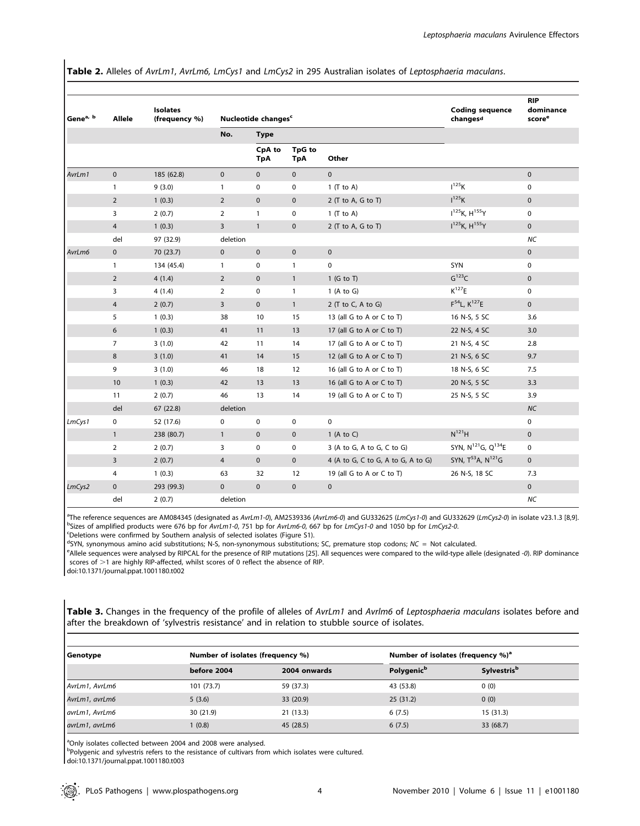Table 2. Alleles of AvrLm1, AvrLm6, LmCys1 and LmCys2 in 295 Australian isolates of Leptosphaeria maculans.

| Gene <sup>a, b</sup> | Allele         | <b>Isolates</b><br>(frequency %) |                    | Nucleotide changes <sup>c</sup> |                      | <b>Coding sequence</b><br>changesd | <b>RIP</b><br>dominance<br>score <sup>e</sup> |              |
|----------------------|----------------|----------------------------------|--------------------|---------------------------------|----------------------|------------------------------------|-----------------------------------------------|--------------|
|                      |                |                                  | No.<br><b>Type</b> |                                 |                      |                                    |                                               |              |
|                      |                |                                  |                    | CpA to<br><b>TpA</b>            | TpG to<br><b>TpA</b> | Other                              |                                               |              |
| AvrLm1               | $\mathbf{0}$   | 185 (62.8)                       | $\mathbf{0}$       | $\mathbf{0}$                    | $\mathbf{0}$         | $\mathbf{0}$                       |                                               | $\mathbf 0$  |
|                      | $\mathbf{1}$   | 9(3.0)                           | $\mathbf{1}$       | 0                               | $\pmb{0}$            | $1$ (T to A)                       | $I^{125}K$                                    | $\pmb{0}$    |
|                      | $\overline{2}$ | 1(0.3)                           | $\overline{2}$     | $\mathbf 0$                     | $\mathbf 0$          | $2$ (T to A, G to T)               | $I^{125}K$                                    | $\pmb{0}$    |
|                      | 3              | 2(0.7)                           | $\overline{2}$     | $\mathbf{1}$                    | $\mathbf 0$          | $1$ (T to A)                       | $I^{125}$ K, $H^{155}$ Y                      | $\mathbf 0$  |
|                      | $\overline{4}$ | 1(0.3)                           | $\overline{3}$     | $\mathbf{1}$                    | $\mathbf{0}$         | $2$ (T to A, G to T)               | $I^{125}K$ , $H^{155}Y$                       | $\mathbf 0$  |
|                      | del            | 97 (32.9)                        | deletion           |                                 |                      |                                    |                                               | <b>NC</b>    |
| AvrLm6               | $\mathbf{0}$   | 70 (23.7)                        | $\mathbf{0}$       | $\mathbf 0$                     | $\mathbf 0$          | $\mathbf 0$                        |                                               | $\pmb{0}$    |
|                      | $\mathbf{1}$   | 134 (45.4)                       | $\mathbf{1}$       | 0                               | $\mathbf{1}$         | $\pmb{0}$                          | SYN                                           | $\pmb{0}$    |
|                      | $\overline{2}$ | 4(1.4)                           | $\overline{2}$     | $\pmb{0}$                       | $\mathbf{1}$         | $1$ (G to T)                       | G <sup>123</sup> C                            | $\pmb{0}$    |
|                      | 3              | 4(1.4)                           | $\overline{2}$     | 0                               | $\mathbf{1}$         | 1 (A to G)                         | $K^{127}E$                                    | $\mathbf 0$  |
|                      | $\overline{4}$ | 2(0.7)                           | $\overline{3}$     | $\mathbf 0$                     | $\mathbf{1}$         | 2 (T to C, A to G)                 | $F^{54}L, K^{127}E$                           | $\pmb{0}$    |
|                      | 5              | 1(0.3)                           | 38                 | 10                              | 15                   | 13 (all G to A or C to T)          | 16 N-S, 5 SC                                  | 3.6          |
|                      | 6              | 1(0.3)                           | 41                 | 11                              | 13                   | 17 (all G to A or C to T)          | 22 N-S, 4 SC                                  | 3.0          |
|                      | $\overline{7}$ | 3(1.0)                           | 42                 | 11                              | 14                   | 17 (all G to A or C to T)          | 21 N-S, 4 SC                                  | 2.8          |
|                      | 8              | 3(1.0)                           | 41                 | 14                              | 15                   | 12 (all G to A or C to T)          | 21 N-S, 6 SC                                  | 9.7          |
|                      | 9              | 3(1.0)                           | 46                 | 18                              | 12                   | 16 (all G to A or C to T)          | 18 N-S, 6 SC                                  | 7.5          |
|                      | 10             | 1(0.3)                           | 42                 | 13                              | 13                   | 16 (all G to A or C to T)          | 20 N-S, 5 SC                                  | 3.3          |
|                      | 11             | 2(0.7)                           | 46                 | 13                              | 14                   | 19 (all G to A or C to T)          | 25 N-S, 5 SC                                  | 3.9          |
|                      | del            | 67(22.8)                         | deletion           |                                 |                      |                                    |                                               | NC           |
| LmCys1               | 0              | 52 (17.6)                        | $\mathbf 0$        | 0                               | 0                    | $\mathbf 0$                        |                                               | 0            |
|                      | $\mathbf{1}$   | 238 (80.7)                       | $\mathbf{1}$       | $\pmb{0}$                       | $\mathbf 0$          | 1 (A to C)                         | $N^{121}H$                                    | $\mathbf{0}$ |
|                      | $\overline{2}$ | 2(0.7)                           | 3                  | 0                               | 0                    | 3 (A to G, A to G, C to G)         | SYN, N <sup>121</sup> G, Q <sup>134</sup> E   | $\mathbf 0$  |
|                      | 3              | 2(0.7)                           | 4                  | $\mathbf 0$                     | $\mathbf 0$          | 4 (A to G, C to G, A to G, A to G) | SYN, T <sup>53</sup> A, N <sup>121</sup> G    | $\mathbf{0}$ |
|                      | 4              | 1(0.3)                           | 63                 | 32                              | 12                   | 19 (all G to A or C to T)          | 26 N-S, 18 SC                                 | 7.3          |
| LmCys2               | $\mathbf{0}$   | 293 (99.3)                       | $\mathbf{0}$       | $\mathbf{0}$                    | $\mathbf 0$          | $\mathbf 0$                        |                                               | $\mathbf 0$  |
|                      | del            | 2(0.7)                           | deletion           |                                 |                      |                                    |                                               | <b>NC</b>    |

<sup>a</sup>The reference sequences are AM084345 (designated as AvrLm1-0), AM2539336 (AvrLm6-0) and GU332625 (LmCys1-0) and GU332629 (LmCys2-0) in isolate v23.1.3 [8,9].<br>Psizes of amplified products were 676 bp for AvrLm1.0, 751 b bSizes of amplified products were 676 bp for AvrLm1-0, 751 bp for AvrLm6-0, 667 bp for LmCys1-0 and 1050 bp for LmCys2-0.

Deletions were confirmed by Southern analysis of selected isolates (Figure S1).

d SYN, synonymous amino acid substitutions; N-S, non-synonymous substitutions; SC, premature stop codons; NC = Not calculated.<br>Callelo sequences were applysed by PIPCAL for the presence of PIP mutations [25]. All sequences

<sup>e</sup>Allele sequences were analysed by RIPCAL for the presence of RIP mutations [25]. All sequences were compared to the wild-type allele (designated -0). RIP dominance scores of  $>1$  are highly RIP-affected, whilst scores of 0 reflect the absence of RIP.

doi:10.1371/journal.ppat.1001180.t002

Table 3. Changes in the frequency of the profile of alleles of AvrLm1 and Avrlm6 of Leptosphaeria maculans isolates before and after the breakdown of 'sylvestris resistance' and in relation to stubble source of isolates.

| Genotype       | Number of isolates (frequency %) |              | Number of isolates (frequency %) <sup>a</sup> |                                |  |  |  |
|----------------|----------------------------------|--------------|-----------------------------------------------|--------------------------------|--|--|--|
|                | before 2004                      | 2004 onwards | Polygenic <sup>b</sup>                        | <b>Sylvestris</b> <sup>b</sup> |  |  |  |
| AvrLm1, AvrLm6 | 101 (73.7)                       | 59 (37.3)    | 43 (53.8)                                     | 0(0)                           |  |  |  |
| AvrLm1, avrLm6 | 5(3.6)                           | 33 (20.9)    | 25(31.2)                                      | 0(0)                           |  |  |  |
| avrLm1, AvrLm6 | 30 (21.9)                        | 21(13.3)     | 6(7.5)                                        | 15(31.3)                       |  |  |  |
| avrLm1, avrLm6 | (0.8)                            | 45 (28.5)    | 6(7.5)                                        | 33 (68.7)                      |  |  |  |

<sup>a</sup>Only isolates collected between 2004 and 2008 were analysed.

<sup>b</sup>Polygenic and sylvestris refers to the resistance of cultivars from which isolates were cultured.

doi:10.1371/journal.ppat.1001180.t003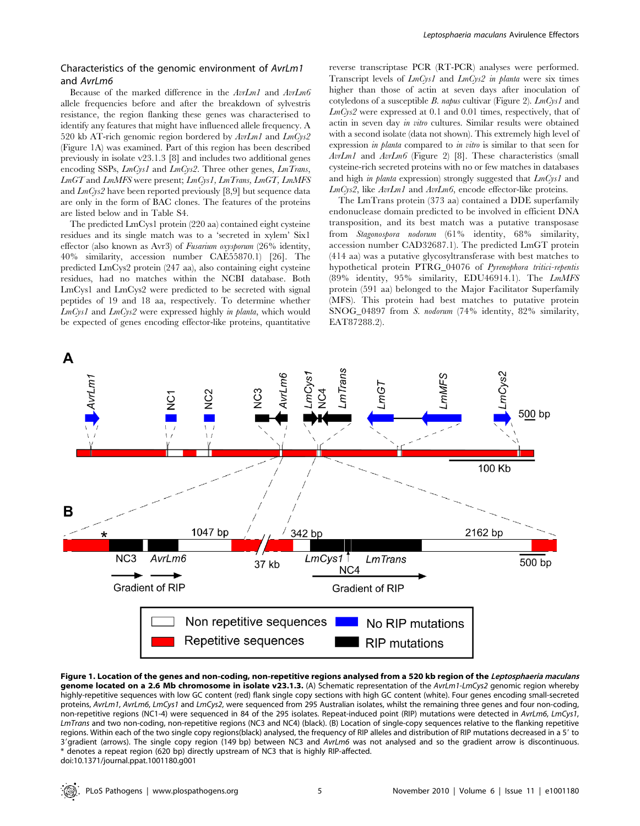# Characteristics of the genomic environment of AvrLm1 and AvrLm6

Because of the marked difference in the AvrLm1 and AvrLm6 allele frequencies before and after the breakdown of sylvestris resistance, the region flanking these genes was characterised to identify any features that might have influenced allele frequency. A 520 kb AT-rich genomic region bordered by AvrLm1 and LmCys2 (Figure 1A) was examined. Part of this region has been described previously in isolate v23.1.3 [8] and includes two additional genes encoding SSPs, *LmCys1* and *LmCys2*. Three other genes, *LmTrans*, LmGT and LmMFS were present; LmCys1, LmTrans, LmGT, LmMFS and  $LmCys2$  have been reported previously [8,9] but sequence data are only in the form of BAC clones. The features of the proteins are listed below and in Table S4.

The predicted LmCys1 protein (220 aa) contained eight cysteine residues and its single match was to a 'secreted in xylem' Six1 effector (also known as Avr3) of Fusarium oxysporum (26% identity, 40% similarity, accession number CAE55870.1) [26]. The predicted LmCys2 protein (247 aa), also containing eight cysteine residues, had no matches within the NCBI database. Both LmCys1 and LmCys2 were predicted to be secreted with signal peptides of 19 and 18 aa, respectively. To determine whether LmCys1 and LmCys2 were expressed highly in planta, which would be expected of genes encoding effector-like proteins, quantitative reverse transcriptase PCR (RT-PCR) analyses were performed. Transcript levels of  $LmCys1$  and  $LmCys2$  in planta were six times higher than those of actin at seven days after inoculation of cotyledons of a susceptible B. napus cultivar (Figure 2).  $LmCys1$  and  $LmCys2$  were expressed at 0.1 and 0.01 times, respectively, that of actin in seven day in vitro cultures. Similar results were obtained with a second isolate (data not shown). This extremely high level of expression in planta compared to in vitro is similar to that seen for AvrLm1 and AvrLm6 (Figure 2) [8]. These characteristics (small cysteine-rich secreted proteins with no or few matches in databases and high in planta expression) strongly suggested that  $LmCys1$  and  $LmCys2$ , like  $AvrLm1$  and  $AvrLm6$ , encode effector-like proteins.

The LmTrans protein (373 aa) contained a DDE superfamily endonuclease domain predicted to be involved in efficient DNA transposition, and its best match was a putative transposase from Stagonospora nodorum (61% identity, 68% similarity, accession number CAD32687.1). The predicted LmGT protein (414 aa) was a putative glycosyltransferase with best matches to hypothetical protein PTRG 04076 of Pyrenophora tritici-repentis (89% identity, 95% similarity, EDU46914.1). The LmMFS protein (591 aa) belonged to the Major Facilitator Superfamily (MFS). This protein had best matches to putative protein SNOG\_04897 from S. nodorum (74% identity, 82% similarity, EAT87288.2).



Figure 1. Location of the genes and non-coding, non-repetitive regions analysed from a 520 kb region of the Leptosphaeria maculans genome located on a 2.6 Mb chromosome in isolate v23.1.3. (A) Schematic representation of the AvrLm1-LmCys2 genomic region whereby highly-repetitive sequences with low GC content (red) flank single copy sections with high GC content (white). Four genes encoding small-secreted proteins, AvrLm1, AvrLm6, LmCys1 and LmCys2, were sequenced from 295 Australian isolates, whilst the remaining three genes and four non-coding, non-repetitive regions (NC1-4) were sequenced in 84 of the 295 isolates. Repeat-induced point (RIP) mutations were detected in AvrLm6, LmCys1, LmTrans and two non-coding, non-repetitive regions (NC3 and NC4) (black). (B) Location of single-copy sequences relative to the flanking repetitive regions. Within each of the two single copy regions(black) analysed, the frequency of RIP alleles and distribution of RIP mutations decreased in a 5' to 3'gradient (arrows). The single copy region (149 bp) between NC3 and AvrLm6 was not analysed and so the gradient arrow is discontinuous. \* denotes a repeat region (620 bp) directly upstream of NC3 that is highly RIP-affected. doi:10.1371/journal.ppat.1001180.g001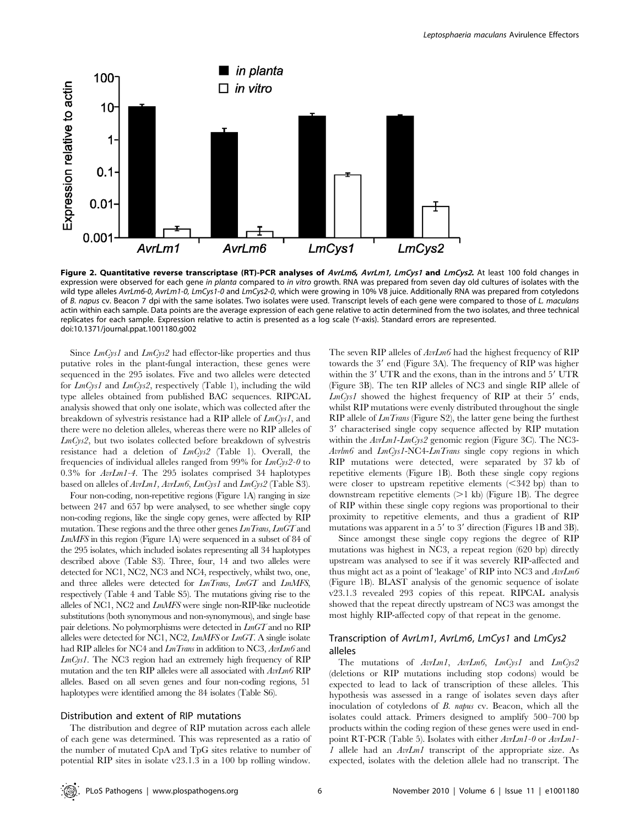

Figure 2. Quantitative reverse transcriptase (RT)-PCR analyses of AvrLm6, AvrLm1, LmCys1 and LmCys2. At least 100 fold changes in expression were observed for each gene in planta compared to in vitro growth. RNA was prepared from seven day old cultures of isolates with the wild type alleles AvrLm6-0, AvrLm1-0, LmCys1-0 and LmCys2-0, which were growing in 10% V8 juice. Additionally RNA was prepared from cotyledons of B. napus cv. Beacon 7 dpi with the same isolates. Two isolates were used. Transcript levels of each gene were compared to those of L. maculans actin within each sample. Data points are the average expression of each gene relative to actin determined from the two isolates, and three technical replicates for each sample. Expression relative to actin is presented as a log scale (Y-axis). Standard errors are represented. doi:10.1371/journal.ppat.1001180.g002

Since  $LmCys1$  and  $LmCys2$  had effector-like properties and thus putative roles in the plant-fungal interaction, these genes were sequenced in the 295 isolates. Five and two alleles were detected for  $LmCys1$  and  $LmCys2$ , respectively (Table 1), including the wild type alleles obtained from published BAC sequences. RIPCAL analysis showed that only one isolate, which was collected after the breakdown of sylvestris resistance had a RIP allele of LmCys1, and there were no deletion alleles, whereas there were no RIP alleles of LmCys2, but two isolates collected before breakdown of sylvestris resistance had a deletion of LmCys2 (Table 1). Overall, the frequencies of individual alleles ranged from 99% for  $LmCys2-0$  to 0.3% for AvrLm1-4. The 295 isolates comprised 34 haplotypes based on alleles of AvrLm1, AvrLm6, LmCys1 and LmCys2 (Table S3).

Four non-coding, non-repetitive regions (Figure 1A) ranging in size between 247 and 657 bp were analysed, to see whether single copy non-coding regions, like the single copy genes, were affected by RIP mutation. These regions and the three other genes LmTrans, LmGT and LmMFS in this region (Figure 1A) were sequenced in a subset of 84 of the 295 isolates, which included isolates representing all 34 haplotypes described above (Table S3). Three, four, 14 and two alleles were detected for NC1, NC2, NC3 and NC4, respectively, whilst two, one, and three alleles were detected for *LmTrans*, *LmGT* and *LmMFS*, respectively (Table 4 and Table S5). The mutations giving rise to the alleles of NC1, NC2 and LmMFS were single non-RIP-like nucleotide substitutions (both synonymous and non-synonymous), and single base pair deletions. No polymorphisms were detected in LmGT and no RIP alleles were detected for NC1, NC2, LmMFS or LmGT. A single isolate had RIP alleles for NC4 and  $LmTrans$  in addition to NC3,  $Av/Lm6$  and LmCys1. The NC3 region had an extremely high frequency of RIP mutation and the ten RIP alleles were all associated with AvrLm6 RIP alleles. Based on all seven genes and four non-coding regions, 51 haplotypes were identified among the 84 isolates (Table S6).

# Distribution and extent of RIP mutations

The distribution and degree of RIP mutation across each allele of each gene was determined. This was represented as a ratio of the number of mutated CpA and TpG sites relative to number of potential RIP sites in isolate v23.1.3 in a 100 bp rolling window. The seven RIP alleles of  $AvLm6$  had the highest frequency of RIP towards the 3' end (Figure 3A). The frequency of RIP was higher within the 3' UTR and the exons, than in the introns and 5' UTR (Figure 3B). The ten RIP alleles of NC3 and single RIP allele of  $LmCys1$  showed the highest frequency of RIP at their 5' ends, whilst RIP mutations were evenly distributed throughout the single  $RIP$  allele of  $LmTrans$  (Figure S2), the latter gene being the furthest 3' characterised single copy sequence affected by RIP mutation within the AvrLm1-LmCys2 genomic region (Figure 3C). The NC3- Avrlm6 and LmCys1-NC4-LmTrans single copy regions in which RIP mutations were detected, were separated by 37 kb of repetitive elements (Figure 1B). Both these single copy regions were closer to upstream repetitive elements  $(< 342$  bp) than to downstream repetitive elements  $(>1$  kb) (Figure 1B). The degree of RIP within these single copy regions was proportional to their proximity to repetitive elements, and thus a gradient of RIP mutations was apparent in a  $5'$  to  $3'$  direction (Figures 1B and 3B).

Since amongst these single copy regions the degree of RIP mutations was highest in NC3, a repeat region (620 bp) directly upstream was analysed to see if it was severely RIP-affected and thus might act as a point of 'leakage' of RIP into NC3 and AvrLm6 (Figure 1B). BLAST analysis of the genomic sequence of isolate v23.1.3 revealed 293 copies of this repeat. RIPCAL analysis showed that the repeat directly upstream of NC3 was amongst the most highly RIP-affected copy of that repeat in the genome.

# Transcription of AvrLm1, AvrLm6, LmCys1 and LmCys2 alleles

The mutations of AvrLm1, AvrLm6, LmCys1 and LmCys2 (deletions or RIP mutations including stop codons) would be expected to lead to lack of transcription of these alleles. This hypothesis was assessed in a range of isolates seven days after inoculation of cotyledons of B. napus cv. Beacon, which all the isolates could attack. Primers designed to amplify 500–700 bp products within the coding region of these genes were used in endpoint RT-PCR (Table 5). Isolates with either  $AvLm1-0$  or  $AvLm1-$ 1 allele had an AvrLm1 transcript of the appropriate size. As expected, isolates with the deletion allele had no transcript. The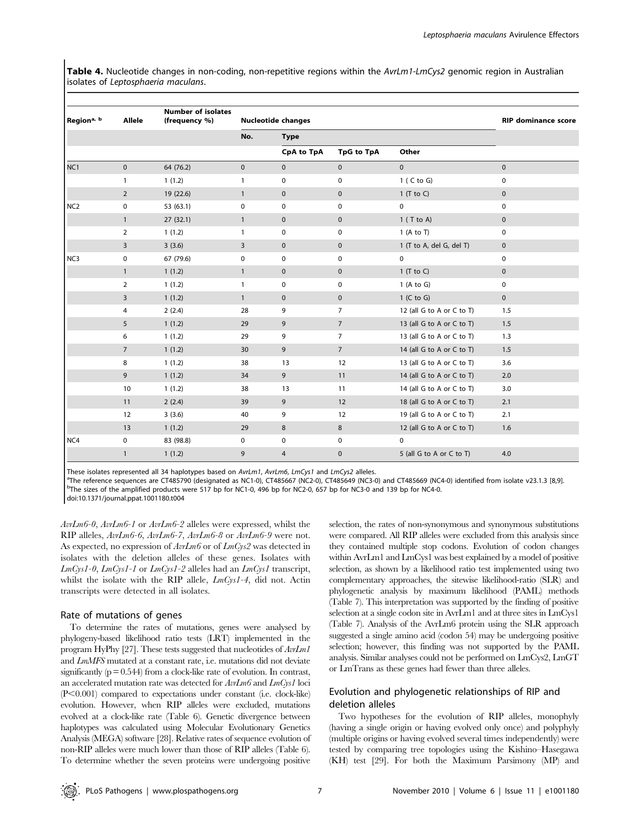Table 4. Nucleotide changes in non-coding, non-repetitive regions within the AvrLm1-LmCys2 genomic region in Australian isolates of Leptosphaeria maculans.

| Region <sup>a, b</sup> | Allele         | <b>Number of isolates</b><br>(frequency %) |              | <b>Nucleotide changes</b> |                 | <b>RIP dominance score</b> |                     |  |  |
|------------------------|----------------|--------------------------------------------|--------------|---------------------------|-----------------|----------------------------|---------------------|--|--|
|                        |                |                                            | No.          | <b>Type</b>               |                 |                            |                     |  |  |
|                        |                |                                            |              | CpA to TpA                | TpG to TpA      | Other                      |                     |  |  |
| NC <sub>1</sub>        | $\mathbf 0$    | 64 (76.2)                                  | $\mathbf 0$  | $\mathbf 0$               | $\mathbf 0$     | $\mathbf 0$                | $\mathbf 0$         |  |  |
|                        | $\mathbf{1}$   | 1(1.2)                                     | $\mathbf{1}$ | 0                         | 0               | $1$ ( C to G)              | 0                   |  |  |
|                        | $\overline{2}$ | 19 (22.6)                                  | $\mathbf{1}$ | $\mathbf 0$               | $\mathbf 0$     | $1$ (T to C)               | $\mathbf 0$         |  |  |
| NC <sub>2</sub>        | 0              | 53 (63.1)                                  | 0            | 0                         | 0               | 0                          | 0                   |  |  |
|                        | $\mathbf{1}$   | 27(32.1)                                   | $\mathbf{1}$ | $\mathbf 0$               | $\mathbf 0$     | $1$ (T to A)               | $\mathbf 0$         |  |  |
|                        | $\overline{2}$ | 1(1.2)                                     | $\mathbf{1}$ | 0                         | 0               | 1 (A to T)                 | 0                   |  |  |
|                        | 3              | 3(3.6)                                     | 3            | $\mathbf 0$               | $\mathbf 0$     | 1 (T to A, del G, del T)   | $\mathsf{O}\xspace$ |  |  |
| NC3                    | 0              | 67 (79.6)                                  | 0            | 0                         | 0               | $\mathbf 0$                | $\mathbf 0$         |  |  |
|                        | $\mathbf{1}$   | 1(1.2)                                     | $\mathbf{1}$ | $\mathbf 0$               | $\mathbf 0$     | $1$ (T to C)               | $\mathbf 0$         |  |  |
|                        | $\overline{2}$ | 1(1.2)                                     | $\mathbf{1}$ | 0                         | 0               | 1 (A to G)                 | 0                   |  |  |
|                        | 3              | 1(1.2)                                     | $\mathbf{1}$ | $\mathbf 0$               | $\mathbf 0$     | $1$ (C to G)               | $\mathsf{O}\xspace$ |  |  |
|                        | 4              | 2(2.4)                                     | 28           | 9                         | $\overline{7}$  | 12 (all G to A or C to T)  | 1.5                 |  |  |
|                        | 5              | 1(1.2)                                     | 29           | 9                         | $\overline{7}$  | 13 (all G to A or C to T)  | 1.5                 |  |  |
|                        | 6              | 1(1.2)                                     | 29           | 9                         | $\overline{7}$  | 13 (all G to A or C to T)  | 1.3                 |  |  |
|                        | $\overline{7}$ | 1(1.2)                                     | 30           | 9                         | $7\overline{ }$ | 14 (all G to A or C to T)  | 1.5                 |  |  |
|                        | 8              | 1(1.2)                                     | 38           | 13                        | 12              | 13 (all G to A or C to T)  | 3.6                 |  |  |
|                        | 9              | 1(1.2)                                     | 34           | 9                         | 11              | 14 (all G to A or C to T)  | 2.0                 |  |  |
|                        | 10             | 1(1.2)                                     | 38           | 13                        | 11              | 14 (all G to A or C to T)  | 3.0                 |  |  |
|                        | 11             | 2(2.4)                                     | 39           | 9                         | 12              | 18 (all G to A or C to T)  | 2.1                 |  |  |
|                        | 12             | 3(3.6)                                     | 40           | 9                         | 12              | 19 (all G to A or C to T)  | 2.1                 |  |  |
|                        | 13             | 1(1.2)                                     | 29           | 8                         | 8               | 12 (all G to A or C to T)  | 1.6                 |  |  |
| NC4                    | 0              | 83 (98.8)                                  | 0            | 0                         | 0               | $\mathbf 0$                |                     |  |  |
|                        | $\mathbf{1}$   | 1(1.2)                                     | 9            | 4                         | 0               | 5 (all G to A or C to T)   | 4.0                 |  |  |

These isolates represented all 34 haplotypes based on AvrLm1, AvrLm6, LmCys1 and LmCys2 alleles.

<sup>a</sup>The reference sequences are CT485790 (designated as NC1-0), CT485667 (NC2-0), CT485649 (NC3-0) and CT485669 (NC4-0) identified from isolate v23.1.3 [8,9].  $^{\rm b}$ The sizes of the amplified products were 517 bp for NC1-0, 496 bp for NC2-0, 657 bp for NC3-0 and 139 bp for NC4-0.

doi:10.1371/journal.ppat.1001180.t004

AvrLm6-0, AvrLm6-1 or AvrLm6-2 alleles were expressed, whilst the RIP alleles, AvrLm6-6, AvrLm6-7, AvrLm6-8 or AvrLm6-9 were not. As expected, no expression of  $AvLm6$  or of  $LmCys2$  was detected in isolates with the deletion alleles of these genes. Isolates with  $LmCys1-0$ ,  $LmCys1-1$  or  $LmCys1-2$  alleles had an  $LmCys1$  transcript, whilst the isolate with the RIP allele,  $LmCys1-4$ , did not. Actin transcripts were detected in all isolates.

#### Rate of mutations of genes

To determine the rates of mutations, genes were analysed by phylogeny-based likelihood ratio tests (LRT) implemented in the program HyPhy [27]. These tests suggested that nucleotides of AvrLm1 and LmMFS mutated at a constant rate, i.e. mutations did not deviate significantly  $(p = 0.544)$  from a clock-like rate of evolution. In contrast, an accelerated mutation rate was detected for AvrLm6 and LmCys1 loci  $(P<0.001)$  compared to expectations under constant (i.e. clock-like) evolution. However, when RIP alleles were excluded, mutations evolved at a clock-like rate (Table 6). Genetic divergence between haplotypes was calculated using Molecular Evolutionary Genetics Analysis (MEGA) software [28]. Relative rates of sequence evolution of non-RIP alleles were much lower than those of RIP alleles (Table 6). To determine whether the seven proteins were undergoing positive

selection, the rates of non-synonymous and synonymous substitutions were compared. All RIP alleles were excluded from this analysis since they contained multiple stop codons. Evolution of codon changes within AvrLm1 and LmCys1 was best explained by a model of positive selection, as shown by a likelihood ratio test implemented using two complementary approaches, the sitewise likelihood-ratio (SLR) and phylogenetic analysis by maximum likelihood (PAML) methods (Table 7). This interpretation was supported by the finding of positive selection at a single codon site in AvrLm1 and at three sites in LmCys1 (Table 7). Analysis of the AvrLm6 protein using the SLR approach suggested a single amino acid (codon 54) may be undergoing positive selection; however, this finding was not supported by the PAML analysis. Similar analyses could not be performed on LmCys2, LmGT or LmTrans as these genes had fewer than three alleles.

# Evolution and phylogenetic relationships of RIP and deletion alleles

Two hypotheses for the evolution of RIP alleles, monophyly (having a single origin or having evolved only once) and polyphyly (multiple origins or having evolved several times independently) were tested by comparing tree topologies using the Kishino–Hasegawa (KH) test [29]. For both the Maximum Parsimony (MP) and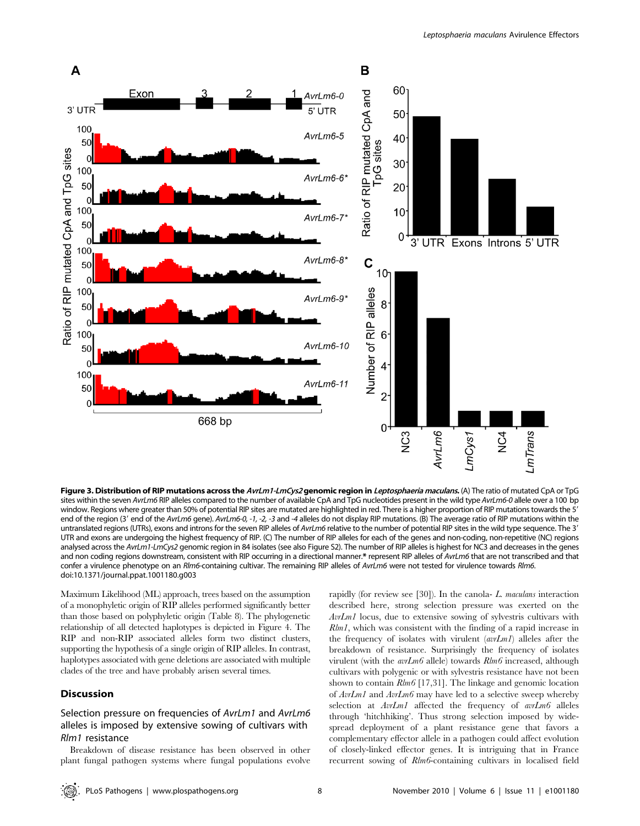

Figure 3. Distribution of RIP mutations across the AvrLm1-LmCys2 genomic region in Leptosphaeria maculans. (A) The ratio of mutated CpA or TpG sites within the seven AvrLm6 RIP alleles compared to the number of available CpA and TpG nucleotides present in the wild type AvrLm6-0 allele over a 100 bp window. Regions where greater than 50% of potential RIP sites are mutated are highlighted in red. There is a higher proportion of RIP mutations towards the 5' end of the region (3' end of the AvrLm6 gene). AvrLm6-0, -1, -2, -3 and -4 alleles do not display RIP mutations. (B) The average ratio of RIP mutations within the untranslated regions (UTRs), exons and introns for the seven RIP alleles of AvrLm6 relative to the number of potential RIP sites in the wild type sequence. The 3' UTR and exons are undergoing the highest frequency of RIP. (C) The number of RIP alleles for each of the genes and non-coding, non-repetitive (NC) regions analysed across the AvrLm1-LmCys2 genomic region in 84 isolates (see also Figure S2). The number of RIP alleles is highest for NC3 and decreases in the genes and non coding regions downstream, consistent with RIP occurring in a directional manner.\* represent RIP alleles of AvrLm6 that are not transcribed and that confer a virulence phenotype on an Rlm6-containing cultivar. The remaining RIP alleles of AvrLm6 were not tested for virulence towards Rlm6. doi:10.1371/journal.ppat.1001180.g003

Maximum Likelihood (ML) approach, trees based on the assumption of a monophyletic origin of RIP alleles performed significantly better than those based on polyphyletic origin (Table 8). The phylogenetic relationship of all detected haplotypes is depicted in Figure 4. The RIP and non-RIP associated alleles form two distinct clusters, supporting the hypothesis of a single origin of RIP alleles. In contrast, haplotypes associated with gene deletions are associated with multiple clades of the tree and have probably arisen several times.

# Discussion

# Selection pressure on frequencies of AvrLm1 and AvrLm6 alleles is imposed by extensive sowing of cultivars with Rlm1 resistance

Breakdown of disease resistance has been observed in other plant fungal pathogen systems where fungal populations evolve rapidly (for review see [30]). In the canola- L. maculans interaction described here, strong selection pressure was exerted on the AvrLm1 locus, due to extensive sowing of sylvestris cultivars with Rlm1, which was consistent with the finding of a rapid increase in the frequency of isolates with virulent (avrLm1) alleles after the breakdown of resistance. Surprisingly the frequency of isolates virulent (with the avrLm6 allele) towards Rlm6 increased, although cultivars with polygenic or with sylvestris resistance have not been shown to contain Rlm6 [17,31]. The linkage and genomic location of  $AvLm1$  and  $AvLm6$  may have led to a selective sweep whereby selection at  $AvrLm1$  affected the frequency of avrLm6 alleles through 'hitchhiking'. Thus strong selection imposed by widespread deployment of a plant resistance gene that favors a complementary effector allele in a pathogen could affect evolution of closely-linked effector genes. It is intriguing that in France recurrent sowing of Rlm6-containing cultivars in localised field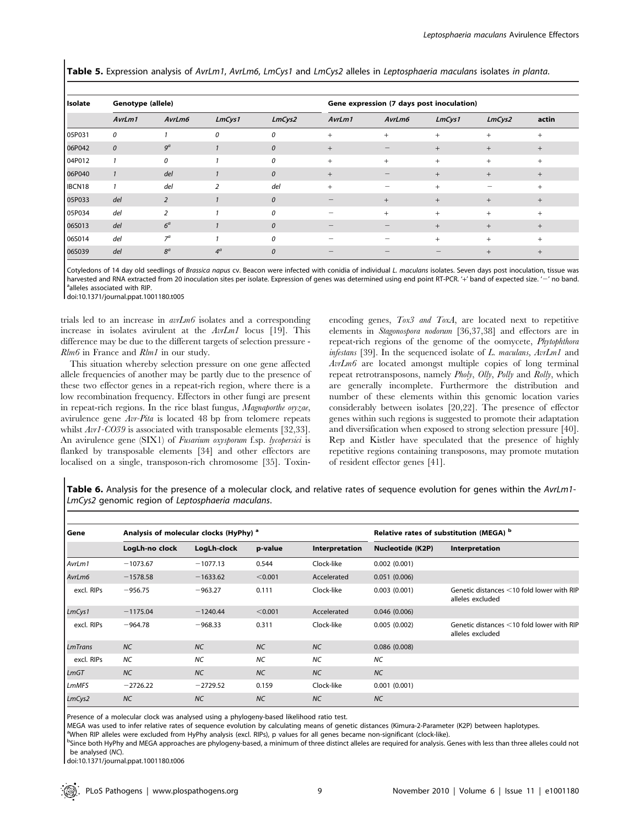Table 5. Expression analysis of AvrLm1, AvrLm6, LmCys1 and LmCys2 alleles in Leptosphaeria maculans isolates in planta.

| <b>Isolate</b> | Genotype (allele) |                |                |               |                                | Gene expression (7 days post inoculation) |        |        |        |  |
|----------------|-------------------|----------------|----------------|---------------|--------------------------------|-------------------------------------------|--------|--------|--------|--|
|                | AvrLm1            | AvrLm6         | LmCys1         | LmCys2        | AvrLm1                         | AvrLm6                                    | LmCys1 | LmCys2 | actin  |  |
| 05P031         | 0                 |                | 0              | 0             | $^{+}$                         | $+$                                       | $+$    | $^{+}$ | $\pm$  |  |
| 06P042         | $\mathcal{O}$     | 9 <sup>a</sup> |                | $\mathcal{O}$ | $+$                            | $\qquad \qquad \longleftarrow$            | $+$    | $+$    | $+$    |  |
| 04P012         |                   | 0              |                | 0             | $^{+}$                         | $+$                                       | $+$    | $^{+}$ | $^{+}$ |  |
| 06P040         | $\mathbf{1}$      | del            |                | 0             | $+$                            |                                           | $+$    | $+$    | $^{+}$ |  |
| IBCN18         | $\mathbf{1}$      | del            | $\overline{2}$ | del           | $+$                            | $\overline{\phantom{0}}$                  | $+$    |        | $^{+}$ |  |
| 05P033         | del               | $\overline{2}$ | $\mathbf{1}$   | 0             | $\qquad \qquad \longleftarrow$ | $+$                                       | $+$    | $+$    | $^{+}$ |  |
| 05P034         | del               | 2              |                | 0             |                                | $+$                                       | $+$    | $+$    | $+$    |  |
| 06S013         | del               | 6 <sup>a</sup> |                | $\mathcal{O}$ | $\overline{\phantom{a}}$       | $\qquad \qquad \longleftarrow$            | $+$    | $+$    | $^{+}$ |  |
| 06S014         | del               | $7^a$          |                | 0             |                                |                                           | $+$    | $+$    | $^{+}$ |  |
| 06S039         | del               | $8^a$          | $4^a$          | 0             |                                |                                           |        | $^{+}$ | $^{+}$ |  |

Cotyledons of 14 day old seedlings of Brassica napus cv. Beacon were infected with conidia of individual L. maculans isolates. Seven days post inoculation, tissue was harvested and RNA extracted from 20 inoculation sites per isolate. Expression of genes was determined using end point RT-PCR. '+' band of expected size. '-' no band. <sup>a</sup>alleles associated with RIP.

doi:10.1371/journal.ppat.1001180.t005

trials led to an increase in  $\arct{um6}$  isolates and a corresponding increase in isolates avirulent at the  $AvrLm1$  locus [19]. This difference may be due to the different targets of selection pressure - Rlm6 in France and Rlm1 in our study.

This situation whereby selection pressure on one gene affected allele frequencies of another may be partly due to the presence of these two effector genes in a repeat-rich region, where there is a low recombination frequency. Effectors in other fungi are present in repeat-rich regions. In the rice blast fungus, Magnaporthe oryzae, avirulence gene Avr-Pita is located 48 bp from telomere repeats whilst  $Avr1-C039$  is associated with transposable elements [32,33]. An avirulence gene (SIX1) of Fusarium oxysporum f.sp. lycopersici is flanked by transposable elements [34] and other effectors are localised on a single, transposon-rich chromosome [35]. Toxinencoding genes, Tox3 and ToxA, are located next to repetitive elements in Stagonospora nodorum [36,37,38] and effectors are in repeat-rich regions of the genome of the oomycete, Phytophthora infestans [39]. In the sequenced isolate of L. maculans, AvrLm1 and AvrLm6 are located amongst multiple copies of long terminal repeat retrotransposons, namely Pholy, Olly, Polly and Rolly, which are generally incomplete. Furthermore the distribution and number of these elements within this genomic location varies considerably between isolates [20,22]. The presence of effector genes within such regions is suggested to promote their adaptation and diversification when exposed to strong selection pressure [40]. Rep and Kistler have speculated that the presence of highly repetitive regions containing transposons, may promote mutation of resident effector genes [41].

Table 6. Analysis for the presence of a molecular clock, and relative rates of sequence evolution for genes within the AvrLm1-LmCys2 genomic region of Leptosphaeria maculans.

| Gene       | Analysis of molecular clocks (HyPhy) <sup>a</sup> |             |           | Relative rates of substitution (MEGA) b |                         |                                                               |
|------------|---------------------------------------------------|-------------|-----------|-----------------------------------------|-------------------------|---------------------------------------------------------------|
|            | LogLh-no clock                                    | LogLh-clock | p-value   | Interpretation                          | <b>Nucleotide (K2P)</b> | Interpretation                                                |
| AvrLm1     | $-1073.67$                                        | $-1077.13$  | 0.544     | Clock-like                              | 0.002(0.001)            |                                                               |
| AvrLm6     | $-1578.58$                                        | $-1633.62$  | < 0.001   | Accelerated                             | 0.051(0.006)            |                                                               |
| excl. RIPs | $-956.75$                                         | $-963.27$   | 0.111     | Clock-like                              | 0.003(0.001)            | Genetic distances <10 fold lower with RIP<br>alleles excluded |
| LmCys1     | $-1175.04$                                        | $-1240.44$  | < 0.001   | Accelerated                             | 0.046(0.006)            |                                                               |
| excl. RIPs | $-964.78$                                         | $-968.33$   | 0.311     | Clock-like                              | 0.005(0.002)            | Genetic distances <10 fold lower with RIP<br>alleles excluded |
| LmTrans    | <b>NC</b>                                         | <b>NC</b>   | <b>NC</b> | <b>NC</b>                               | 0.086(0.008)            |                                                               |
| excl. RIPs | NC                                                | <b>NC</b>   | <b>NC</b> | <b>NC</b>                               | <b>NC</b>               |                                                               |
| LmGT       | <b>NC</b>                                         | <b>NC</b>   | <b>NC</b> | <b>NC</b>                               | NC                      |                                                               |
| LmMFS      | $-2726.22$                                        | $-2729.52$  | 0.159     | Clock-like                              | 0.001(0.001)            |                                                               |
| LmCys2     | <b>NC</b>                                         | <b>NC</b>   | <b>NC</b> | <b>NC</b>                               | <b>NC</b>               |                                                               |

Presence of a molecular clock was analysed using a phylogeny-based likelihood ratio test.

MEGA was used to infer relative rates of sequence evolution by calculating means of genetic distances (Kimura-2-Parameter (K2P) between haplotypes. <sup>a</sup>

When RIP alleles were excluded from HyPhy analysis (excl. RIPs), p values for all genes became non-significant (clock-like).

<sup>b</sup>Since both HyPhy and MEGA approaches are phylogeny-based, a minimum of three distinct alleles are required for analysis. Genes with less than three alleles could not be analysed (NC).

doi:10.1371/journal.ppat.1001180.t006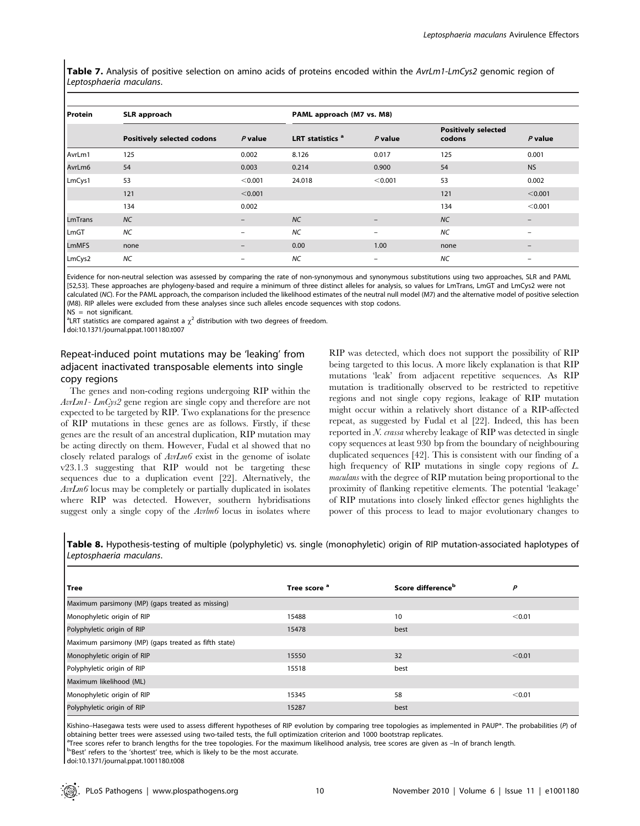Table 7. Analysis of positive selection on amino acids of proteins encoded within the AvrLm1-LmCys2 genomic region of Leptosphaeria maculans.

| <b>Protein</b> | SLR approach                      | PAML approach (M7 vs. M8) |                             |                          |                                      |                   |
|----------------|-----------------------------------|---------------------------|-----------------------------|--------------------------|--------------------------------------|-------------------|
|                | <b>Positively selected codons</b> | $P$ value                 | LRT statistics <sup>a</sup> | $P$ value                | <b>Positively selected</b><br>codons | $P$ value         |
| AvrLm1         | 125                               | 0.002                     | 8.126                       | 0.017                    | 125                                  | 0.001             |
| AvrLm6         | 54                                | 0.003                     | 0.214                       | 0.900                    | 54                                   | <b>NS</b>         |
| LmCys1         | 53                                | < 0.001                   | 24.018                      | < 0.001                  | 53                                   | 0.002             |
|                | 121                               | < 0.001                   |                             |                          | 121                                  | < 0.001           |
|                | 134                               | 0.002                     |                             |                          | 134                                  | < 0.001           |
| <b>LmTrans</b> | <b>NC</b>                         | -                         | <b>NC</b>                   | $\overline{\phantom{0}}$ | NC                                   | $\qquad \qquad -$ |
| LmGT           | <b>NC</b>                         | -                         | <b>NC</b>                   | $\qquad \qquad$          | <b>NC</b>                            |                   |
| <b>LmMFS</b>   | none                              | -                         | 0.00                        | 1.00                     | none                                 | $\qquad \qquad -$ |
| LmCys2         | <b>NC</b>                         | -                         | NC                          | $\qquad \qquad$          | NC                                   | $\qquad \qquad -$ |

Evidence for non-neutral selection was assessed by comparing the rate of non-synonymous and synonymous substitutions using two approaches, SLR and PAML [52,53]. These approaches are phylogeny-based and require a minimum of three distinct alleles for analysis, so values for LmTrans, LmGT and LmCys2 were not calculated (NC). For the PAML approach, the comparison included the likelihood estimates of the neutral null model (M7) and the alternative model of positive selection (M8). RIP alleles were excluded from these analyses since such alleles encode sequences with stop codons.  $NS = not$  significant.

<sup>a</sup>LRT statistics are compared against a  $\chi^2$  distribution with two degrees of freedom.

doi:10.1371/journal.ppat.1001180.t007

# Repeat-induced point mutations may be 'leaking' from adjacent inactivated transposable elements into single copy regions

The genes and non-coding regions undergoing RIP within the AvrLm1- LmCys2 gene region are single copy and therefore are not expected to be targeted by RIP. Two explanations for the presence of RIP mutations in these genes are as follows. Firstly, if these genes are the result of an ancestral duplication, RIP mutation may be acting directly on them. However, Fudal et al showed that no closely related paralogs of AvrLm6 exist in the genome of isolate v23.1.3 suggesting that RIP would not be targeting these

sequences due to a duplication event [22]. Alternatively, the AvrLm6 locus may be completely or partially duplicated in isolates where RIP was detected. However, southern hybridisations suggest only a single copy of the  $Avlm6$  locus in isolates where being targeted to this locus. A more likely explanation is that RIP mutations 'leak' from adjacent repetitive sequences. As RIP mutation is traditionally observed to be restricted to repetitive regions and not single copy regions, leakage of RIP mutation might occur within a relatively short distance of a RIP-affected repeat, as suggested by Fudal et al [22]. Indeed, this has been reported in N. crassa whereby leakage of RIP was detected in single copy sequences at least 930 bp from the boundary of neighbouring duplicated sequences [42]. This is consistent with our finding of a high frequency of RIP mutations in single copy regions of L. maculans with the degree of RIP mutation being proportional to the proximity of flanking repetitive elements. The potential 'leakage' of RIP mutations into closely linked effector genes highlights the power of this process to lead to major evolutionary changes to

RIP was detected, which does not support the possibility of RIP

Table 8. Hypothesis-testing of multiple (polyphyletic) vs. single (monophyletic) origin of RIP mutation-associated haplotypes of Leptosphaeria maculans.

| Tree                                                 | Tree score <sup>a</sup> | Score difference <sup>b</sup> | P      |  |  |  |  |
|------------------------------------------------------|-------------------------|-------------------------------|--------|--|--|--|--|
| Maximum parsimony (MP) (gaps treated as missing)     |                         |                               |        |  |  |  |  |
| Monophyletic origin of RIP                           | 15488                   | 10                            | < 0.01 |  |  |  |  |
| Polyphyletic origin of RIP                           | 15478                   | best                          |        |  |  |  |  |
| Maximum parsimony (MP) (gaps treated as fifth state) |                         |                               |        |  |  |  |  |
| Monophyletic origin of RIP                           | 15550                   | 32                            | < 0.01 |  |  |  |  |
| Polyphyletic origin of RIP                           | 15518                   | best                          |        |  |  |  |  |
| Maximum likelihood (ML)                              |                         |                               |        |  |  |  |  |
| Monophyletic origin of RIP                           | 15345                   | 58                            | < 0.01 |  |  |  |  |
| Polyphyletic origin of RIP                           | 15287                   | best                          |        |  |  |  |  |

Kishino–Hasegawa tests were used to assess different hypotheses of RIP evolution by comparing tree topologies as implemented in PAUP\*. The probabilities (P) of obtaining better trees were assessed using two-tailed tests, the full optimization criterion and 1000 bootstrap replicates.

<sup>a</sup>Tree scores refer to branch lengths for the tree topologies. For the maximum likelihood analysis, tree scores are given as -ln of branch length.

b'Best' refers to the 'shortest' tree, which is likely to be the most accurate.

doi:10.1371/journal.ppat.1001180.t008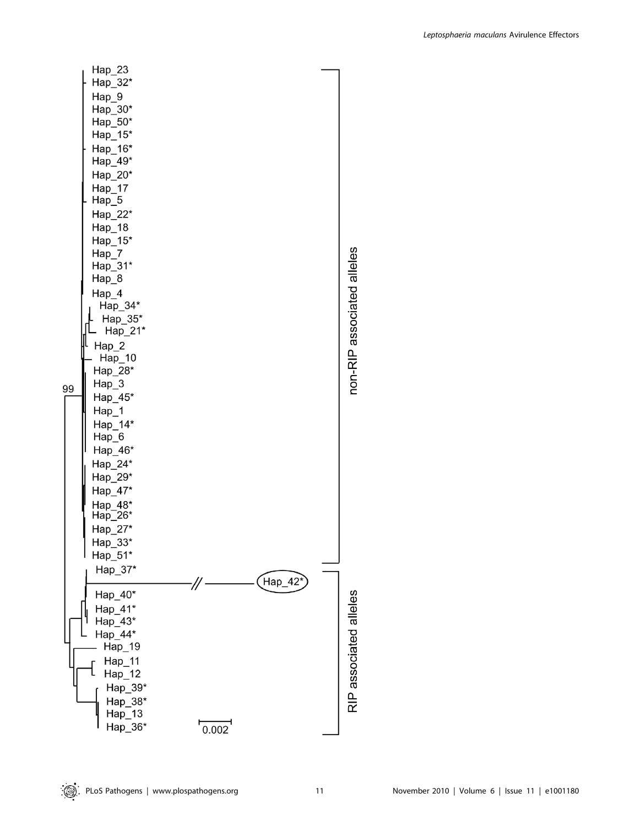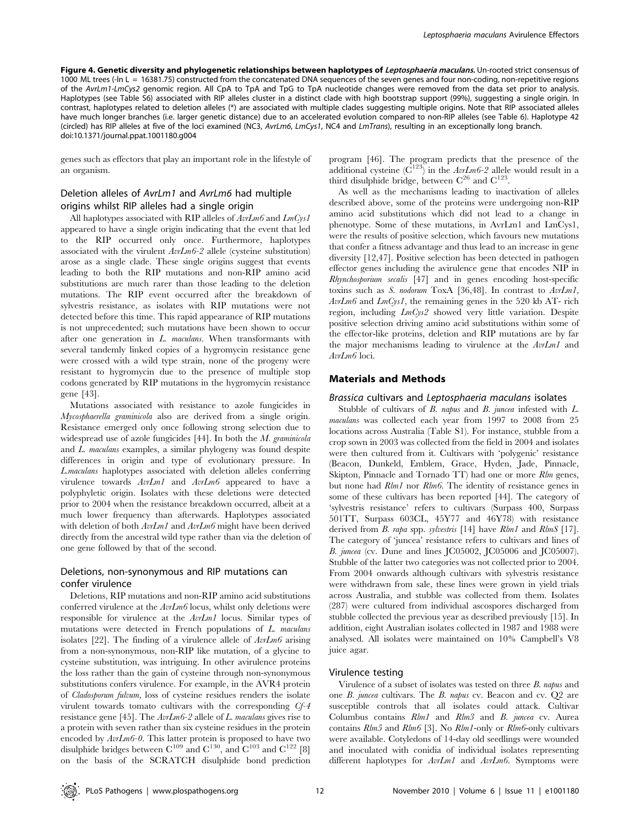Figure 4. Genetic diversity and phylogenetic relationships between haplotypes of Leptosphaeria maculans. Un-rooted strict consensus of 1000 ML trees (-ln L = 16381.75) constructed from the concatenated DNA sequences of the seven genes and four non-coding, non-repetitive regions of the AvrLm1-LmCys2 genomic region. All CpA to TpA and TpG to TpA nucleotide changes were removed from the data set prior to analysis. Haplotypes (see Table S6) associated with RIP alleles cluster in a distinct clade with high bootstrap support (99%), suggesting a single origin. In contrast, haplotypes related to deletion alleles (\*) are associated with multiple clades suggesting multiple origins. Note that RIP associated alleles have much longer branches (i.e. larger genetic distance) due to an accelerated evolution compared to non-RIP alleles (see Table 6). Haplotype 42 (circled) has RIP alleles at five of the loci examined (NC3, AvrLm6, LmCys1, NC4 and LmTrans), resulting in an exceptionally long branch. doi:10.1371/journal.ppat.1001180.g004

genes such as effectors that play an important role in the lifestyle of an organism.

# Deletion alleles of AvrLm1 and AvrLm6 had multiple origins whilst RIP alleles had a single origin

All haplotypes associated with RIP alleles of  $AvLm6$  and  $LmCys1$ appeared to have a single origin indicating that the event that led to the RIP occurred only once. Furthermore, haplotypes associated with the virulent  $AvI_m6-2$  allele (cysteine substitution) arose as a single clade. These single origins suggest that events leading to both the RIP mutations and non-RIP amino acid substitutions are much rarer than those leading to the deletion mutations. The RIP event occurred after the breakdown of sylvestris resistance, as isolates with RIP mutations were not detected before this time. This rapid appearance of RIP mutations is not unprecedented; such mutations have been shown to occur after one generation in L. maculans. When transformants with several tandemly linked copies of a hygromycin resistance gene were crossed with a wild type strain, none of the progeny were resistant to hygromycin due to the presence of multiple stop codons generated by RIP mutations in the hygromycin resistance gene [43].

Mutations associated with resistance to azole fungicides in Mycosphaerella graminicola also are derived from a single origin. Resistance emerged only once following strong selection due to widespread use of azole fungicides [44]. In both the M. graminicola and L. maculans examples, a similar phylogeny was found despite differences in origin and type of evolutionary pressure. In L.maculans haplotypes associated with deletion alleles conferring virulence towards AvrLm1 and AvrLm6 appeared to have a polyphyletic origin. Isolates with these deletions were detected prior to 2004 when the resistance breakdown occurred, albeit at a much lower frequency than afterwards. Haplotypes associated with deletion of both  $AvLm1$  and  $AvLm6$  might have been derived directly from the ancestral wild type rather than via the deletion of one gene followed by that of the second.

# Deletions, non-synonymous and RIP mutations can confer virulence

Deletions, RIP mutations and non-RIP amino acid substitutions conferred virulence at the AvrLm6 locus, whilst only deletions were responsible for virulence at the AvrLm1 locus. Similar types of mutations were detected in French populations of L. maculans isolates [22]. The finding of a virulence allele of  $AvI_m$  arising from a non-synonymous, non-RIP like mutation, of a glycine to cysteine substitution, was intriguing. In other avirulence proteins the loss rather than the gain of cysteine through non-synonymous substitutions confers virulence. For example, in the AVR4 protein of Cladosporum fulvum, loss of cysteine residues renders the isolate virulent towards tomato cultivars with the corresponding Cf-4 resistance gene [45]. The AvrLm6-2 allele of L. maculans gives rise to a protein with seven rather than six cysteine residues in the protein encoded by  $AvLm6-0$ . This latter protein is proposed to have two disulphide bridges between  $C^{109}$  and  $C^{130}$ , and  $C^{103}$  and  $C^{122}$  [8] on the basis of the SCRATCH disulphide bond prediction program [46]. The program predicts that the presence of the additional cysteine  $(C^{123})$  in the AvrLm6-2 allele would result in a third disulphide bridge, between  $C^{26}$  and  $C^{123}$ .

As well as the mechanisms leading to inactivation of alleles described above, some of the proteins were undergoing non-RIP amino acid substitutions which did not lead to a change in phenotype. Some of these mutations, in AvrLm1 and LmCys1, were the results of positive selection, which favours new mutations that confer a fitness advantage and thus lead to an increase in gene diversity [12,47]. Positive selection has been detected in pathogen effector genes including the avirulence gene that encodes NIP in Rhynchosporium secalis [47] and in genes encoding host-specific toxins such as S. nodorum ToxA [36,48]. In contrast to AvrLm1,  $AvLm6$  and  $LmCysI$ , the remaining genes in the 520 kb AT- rich region, including LmCys2 showed very little variation. Despite positive selection driving amino acid substitutions within some of the effector-like proteins, deletion and RIP mutations are by far the major mechanisms leading to virulence at the AvrLm1 and AvrLm6 loci.

## Materials and Methods

#### Brassica cultivars and Leptosphaeria maculans isolates

Stubble of cultivars of B. napus and B. juncea infested with L. maculans was collected each year from 1997 to 2008 from 25 locations across Australia (Table S1). For instance, stubble from a crop sown in 2003 was collected from the field in 2004 and isolates were then cultured from it. Cultivars with 'polygenic' resistance (Beacon, Dunkeld, Emblem, Grace, Hyden, Jade, Pinnacle, Skipton, Pinnacle and Tornado TT) had one or more Rlm genes, but none had Rlm1 nor Rlm6. The identity of resistance genes in some of these cultivars has been reported [44]. The category of 'sylvestris resistance' refers to cultivars (Surpass 400, Surpass 501TT, Surpass 603CL, 45Y77 and 46Y78) with resistance derived from *B. rapa* spp. *sylvestris* [14] have *Rlm1* and *RlmS* [17]. The category of 'juncea' resistance refers to cultivars and lines of B. juncea (cv. Dune and lines JC05002, JC05006 and JC05007). Stubble of the latter two categories was not collected prior to 2004. From 2004 onwards although cultivars with sylvestris resistance were withdrawn from sale, these lines were grown in yield trials across Australia, and stubble was collected from them. Isolates (287) were cultured from individual ascospores discharged from stubble collected the previous year as described previously [15]. In addition, eight Australian isolates collected in 1987 and 1988 were analysed. All isolates were maintained on 10% Campbell's V8 juice agar.

## Virulence testing

Virulence of a subset of isolates was tested on three B. napus and one B. juncea cultivars. The B. napus cv. Beacon and cv. Q2 are susceptible controls that all isolates could attack. Cultivar Columbus contains  $R/m1$  and  $R/m3$  and B. juncea cv. Aurea contains  $R/m5$  and  $R/m6$  [3]. No  $R/m1$ -only or  $R/m6$ -only cultivars were available. Cotyledons of 14-day old seedlings were wounded and inoculated with conidia of individual isolates representing different haplotypes for  $AvLm1$  and  $AvLm6$ . Symptoms were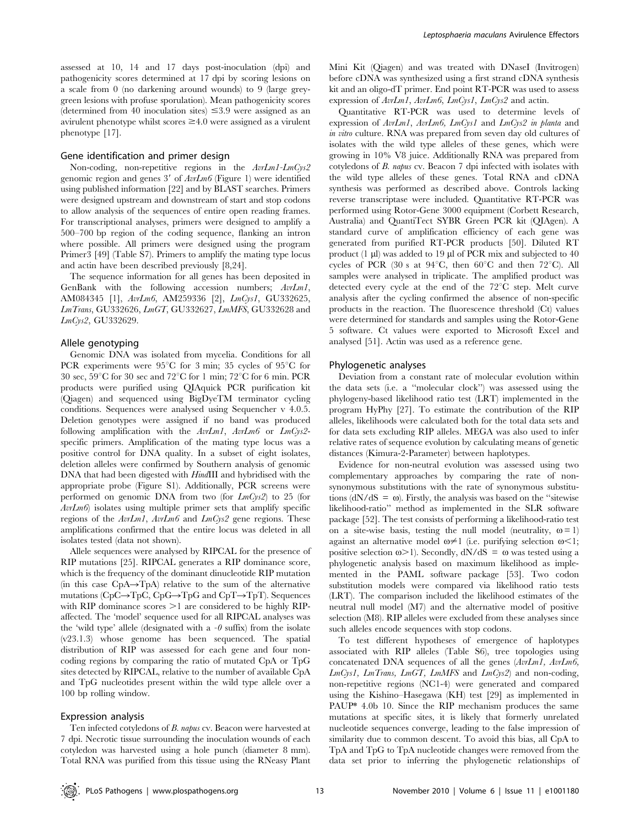assessed at 10, 14 and 17 days post-inoculation (dpi) and pathogenicity scores determined at 17 dpi by scoring lesions on a scale from 0 (no darkening around wounds) to 9 (large greygreen lesions with profuse sporulation). Mean pathogenicity scores (determined from 40 inoculation sites)  $\leq 3.9$  were assigned as an avirulent phenotype whilst scores  $\geq 4.0$  were assigned as a virulent phenotype [17].

#### Gene identification and primer design

Non-coding, non-repetitive regions in the AvrLm1-LmCys2 genomic region and genes 3' of  $AvLm6$  (Figure 1) were identified using published information [22] and by BLAST searches. Primers were designed upstream and downstream of start and stop codons to allow analysis of the sequences of entire open reading frames. For transcriptional analyses, primers were designed to amplify a 500–700 bp region of the coding sequence, flanking an intron where possible. All primers were designed using the program Primer3 [49] (Table S7). Primers to amplify the mating type locus and actin have been described previously [8,24].

The sequence information for all genes has been deposited in GenBank with the following accession numbers;  $AvI_m1$ , AM084345 [1], AvrLm6, AM259336 [2], LmCys1, GU332625, LmTrans, GU332626, LmGT, GU332627, LmMFS, GU332628 and LmCys2, GU332629.

#### Allele genotyping

Genomic DNA was isolated from mycelia. Conditions for all PCR experiments were  $95^{\circ}$ C for 3 min; 35 cycles of  $95^{\circ}$ C for 30 sec,  $59^{\circ}$ C for 30 sec and  $72^{\circ}$ C for 1 min;  $72^{\circ}$ C for 6 min. PCR products were purified using QIAquick PCR purification kit (Qiagen) and sequenced using BigDyeTM terminator cycling conditions. Sequences were analysed using Sequencher v 4.0.5. Deletion genotypes were assigned if no band was produced following amplification with the  $AvLm1$ ,  $AvLm6$  or  $LmCys2$ specific primers. Amplification of the mating type locus was a positive control for DNA quality. In a subset of eight isolates, deletion alleles were confirmed by Southern analysis of genomic DNA that had been digested with HindIII and hybridised with the appropriate probe (Figure S1). Additionally, PCR screens were performed on genomic DNA from two (for  $LmCys2$ ) to 25 (for  $AvLm6$  isolates using multiple primer sets that amplify specific regions of the AvrLm1, AvrLm6 and LmCys2 gene regions. These amplifications confirmed that the entire locus was deleted in all isolates tested (data not shown).

Allele sequences were analysed by RIPCAL for the presence of RIP mutations [25]. RIPCAL generates a RIP dominance score, which is the frequency of the dominant dinucleotide RIP mutation (in this case  $CpA \rightarrow TpA$ ) relative to the sum of the alternative mutations (CpC $\rightarrow$ TpC, CpG $\rightarrow$ TpG and CpT $\rightarrow$ TpT). Sequences with RIP dominance scores  $>1$  are considered to be highly RIPaffected. The 'model' sequence used for all RIPCAL analyses was the 'wild type' allele (designated with a  $-\theta$  suffix) from the isolate (v23.1.3) whose genome has been sequenced. The spatial distribution of RIP was assessed for each gene and four noncoding regions by comparing the ratio of mutated CpA or TpG sites detected by RIPCAL, relative to the number of available CpA and TpG nucleotides present within the wild type allele over a 100 bp rolling window.

#### Expression analysis

Ten infected cotyledons of B. napus cv. Beacon were harvested at 7 dpi. Necrotic tissue surrounding the inoculation wounds of each cotyledon was harvested using a hole punch (diameter 8 mm). Total RNA was purified from this tissue using the RNeasy Plant Mini Kit (Qiagen) and was treated with DNaseI (Invitrogen) before cDNA was synthesized using a first strand cDNA synthesis kit and an oligo-dT primer. End point RT-PCR was used to assess expression of AvrLm1, AvrLm6, LmCys1, LmCys2 and actin.

Quantitative RT-PCR was used to determine levels of expression of AvrLm1, AvrLm6, LmCys1 and LmCys2 in planta and in vitro culture. RNA was prepared from seven day old cultures of isolates with the wild type alleles of these genes, which were growing in 10% V8 juice. Additionally RNA was prepared from cotyledons of B. napus cv. Beacon 7 dpi infected with isolates with the wild type alleles of these genes. Total RNA and cDNA synthesis was performed as described above. Controls lacking reverse transcriptase were included. Quantitative RT-PCR was performed using Rotor-Gene 3000 equipment (Corbett Research, Australia) and QuantiTect SYBR Green PCR kit (QIAgen). A standard curve of amplification efficiency of each gene was generated from purified RT-PCR products [50]. Diluted RT product  $(1 \mu l)$  was added to 19  $\mu l$  of PCR mix and subjected to 40 cycles of PCR (30 s at  $94^{\circ}$ C, then  $60^{\circ}$ C and then  $72^{\circ}$ C). All samples were analysed in triplicate. The amplified product was detected every cycle at the end of the  $72^{\circ}$ C step. Melt curve analysis after the cycling confirmed the absence of non-specific products in the reaction. The fluorescence threshold (Ct) values were determined for standards and samples using the Rotor-Gene 5 software. Ct values were exported to Microsoft Excel and analysed [51]. Actin was used as a reference gene.

#### Phylogenetic analyses

Deviation from a constant rate of molecular evolution within the data sets (i.e. a ''molecular clock'') was assessed using the phylogeny-based likelihood ratio test (LRT) implemented in the program HyPhy [27]. To estimate the contribution of the RIP alleles, likelihoods were calculated both for the total data sets and for data sets excluding RIP alleles. MEGA was also used to infer relative rates of sequence evolution by calculating means of genetic distances (Kimura-2-Parameter) between haplotypes.

Evidence for non-neutral evolution was assessed using two complementary approaches by comparing the rate of nonsynonymous substitutions with the rate of synonymous substitutions ( $dN/dS = \omega$ ). Firstly, the analysis was based on the "sitewise" likelihood-ratio'' method as implemented in the SLR software package [52]. The test consists of performing a likelihood-ratio test on a site-wise basis, testing the null model (neutrality,  $\omega = 1$ ) against an alternative model  $\omega \neq 1$  (i.e. purifying selection  $\omega \leq 1$ ; positive selection  $\omega > 1$ ). Secondly,  $dN/dS = \omega$  was tested using a phylogenetic analysis based on maximum likelihood as implemented in the PAML software package [53]. Two codon substitution models were compared via likelihood ratio tests (LRT). The comparison included the likelihood estimates of the neutral null model (M7) and the alternative model of positive selection (M8). RIP alleles were excluded from these analyses since such alleles encode sequences with stop codons.

To test different hypotheses of emergence of haplotypes associated with RIP alleles (Table S6), tree topologies using concatenated DNA sequences of all the genes (AvrLm1, AvrLm6,  $LmCys1$ ,  $LmTrans$ ,  $LmGT$ ,  $LmMFS$  and  $LmCys2$ ) and non-coding, non-repetitive regions (NC1-4) were generated and compared using the Kishino–Hasegawa (KH) test [29] as implemented in PAUP\* 4.0b 10. Since the RIP mechanism produces the same mutations at specific sites, it is likely that formerly unrelated nucleotide sequences converge, leading to the false impression of similarity due to common descent. To avoid this bias, all CpA to TpA and TpG to TpA nucleotide changes were removed from the data set prior to inferring the phylogenetic relationships of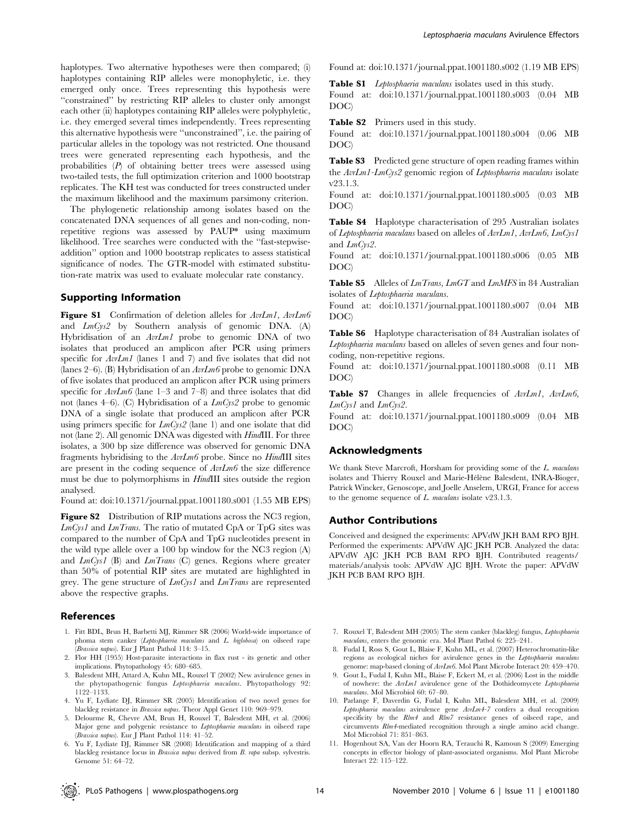haplotypes. Two alternative hypotheses were then compared; (i) haplotypes containing RIP alleles were monophyletic, i.e. they emerged only once. Trees representing this hypothesis were ''constrained'' by restricting RIP alleles to cluster only amongst each other (ii) haplotypes containing RIP alleles were polyphyletic, i.e. they emerged several times independently. Trees representing this alternative hypothesis were ''unconstrained'', i.e. the pairing of particular alleles in the topology was not restricted. One thousand trees were generated representing each hypothesis, and the probabilities  $(P)$  of obtaining better trees were assessed using two-tailed tests, the full optimization criterion and 1000 bootstrap replicates. The KH test was conducted for trees constructed under the maximum likelihood and the maximum parsimony criterion.

The phylogenetic relationship among isolates based on the concatenated DNA sequences of all genes and non-coding, nonrepetitive regions was assessed by PAUP\* using maximum likelihood. Tree searches were conducted with the ''fast-stepwiseaddition'' option and 1000 bootstrap replicates to assess statistical significance of nodes. The GTR-model with estimated substitution-rate matrix was used to evaluate molecular rate constancy.

# Supporting Information

Figure S1 Confirmation of deletion alleles for  $AvrLm1$ ,  $AvrLm6$ and  $LmCys2$  by Southern analysis of genomic DNA. (A) Hybridisation of an AvrLm1 probe to genomic DNA of two isolates that produced an amplicon after PCR using primers specific for  $AvLm1$  (lanes 1 and 7) and five isolates that did not (lanes 2–6). (B) Hybridisation of an AvrLm6 probe to genomic DNA of five isolates that produced an amplicon after PCR using primers specific for  $AvLm6$  (lane 1–3 and 7–8) and three isolates that did not (lanes 4–6). (C) Hybridisation of a  $LmCys2$  probe to genomic DNA of a single isolate that produced an amplicon after PCR using primers specific for  $LmCys2$  (lane 1) and one isolate that did not (lane 2). All genomic DNA was digested with HindIII. For three isolates, a 300 bp size difference was observed for genomic DNA fragments hybridising to the AvrLm6 probe. Since no HindIII sites are present in the coding sequence of AvrLm6 the size difference must be due to polymorphisms in HindIII sites outside the region analysed.

Found at: doi:10.1371/journal.ppat.1001180.s001 (1.55 MB EPS)

Figure S2 Distribution of RIP mutations across the NC3 region,  $LmCys1$  and  $LmTrans$ . The ratio of mutated CpA or TpG sites was compared to the number of CpA and TpG nucleotides present in the wild type allele over a 100 bp window for the NC3 region (A) and  $LmCysI$  (B) and  $LmTrans$  (C) genes. Regions where greater than 50% of potential RIP sites are mutated are highlighted in grey. The gene structure of  $LmCys1$  and  $LmTrans$  are represented above the respective graphs.

#### References

- 1. Fitt BDL, Brun H, Barbetti MJ, Rimmer SR (2006) World-wide importance of phoma stem canker (Leptosphaeria maculans and L. biglobosa) on oilseed rape (Brassica napus). Eur J Plant Pathol 114: 3–15.
- 2. Flor HH (1955) Host-parasite interactions in flax rust its genetic and other implications. Phytopathology 45: 680–685.
- 3. Balesdent MH, Attard A, Kuhn ML, Rouxel T (2002) New avirulence genes in the phytopathogenic fungus Leptosphaeria maculans. Phytopathology 92: 1122–1133.
- 4. Yu F, Lydiate DJ, Rimmer SR (2005) Identification of two novel genes for blackleg resistance in Brassica napus. Theor Appl Genet 110: 969–979.
- 5. Delourme R, Chevre AM, Brun H, Rouxel T, Balesdent MH, et al. (2006) Major gene and polygenic resistance to Leptosphaeria maculans in oilseed rape (Brassica napus). Eur J Plant Pathol 114: 41–52.
- 6. Yu F, Lydiate DJ, Rimmer SR (2008) Identification and mapping of a third blackleg resistance locus in Brassica napus derived from B. rapa subsp. sylvestris. Genome 51: 64–72.

Found at: doi:10.1371/journal.ppat.1001180.s002 (1.19 MB EPS)

Table S1 Leptosphaeria maculans isolates used in this study.

Found at: doi:10.1371/journal.ppat.1001180.s003 (0.04 MB DOC)

Table S2 Primers used in this study.

Found at: doi:10.1371/journal.ppat.1001180.s004 (0.06 MB DOC)

Table S3 Predicted gene structure of open reading frames within the AvrLm1-LmCys2 genomic region of Leptosphaeria maculans isolate v23.1.3.

Found at: doi:10.1371/journal.ppat.1001180.s005 (0.03 MB DOC)

Table S4 Haplotype characterisation of 295 Australian isolates of Leptosphaeria maculans based on alleles of AvrLm1, AvrLm6, LmCys1 and LmCys2.

Found at: doi:10.1371/journal.ppat.1001180.s006 (0.05 MB DOC)

Table S5 Alleles of LmTrans, LmGT and LmMFS in 84 Australian isolates of Leptosphaeria maculans.

Found at: doi:10.1371/journal.ppat.1001180.s007 (0.04 MB DOC)

Table S6 Haplotype characterisation of 84 Australian isolates of Leptosphaeria maculans based on alleles of seven genes and four noncoding, non-repetitive regions.

Found at: doi:10.1371/journal.ppat.1001180.s008 (0.11 MB DOC)

Table S7 Changes in allele frequencies of AvrLm1, AvrLm6, LmCys1 and LmCys2.

Found at: doi:10.1371/journal.ppat.1001180.s009 (0.04 MB DOC)

### Acknowledgments

We thank Steve Marcroft, Horsham for providing some of the L. maculans isolates and Thierry Rouxel and Marie-Hélène Balesdent, INRA-Bioger, Patrick Wincker, Genoscope, and Joelle Anselem, URGI, France for access to the genome sequence of  $L$ . maculans isolate v23.1.3.

#### Author Contributions

Conceived and designed the experiments: APVdW JKH BAM RPO BJH. Performed the experiments: APVdW AJC JKH PCB. Analyzed the data: APVdW AJC JKH PCB BAM RPO BJH. Contributed reagents/ materials/analysis tools: APVdW AJC BJH. Wrote the paper: APVdW JKH PCB BAM RPO BJH.

- 7. Rouxel T, Balesdent MH (2005) The stem canker (blackleg) fungus, Leptosphaeria maculans, enters the genomic era. Mol Plant Pathol 6: 225–241.
- 8. Fudal I, Ross S, Gout L, Blaise F, Kuhn ML, et al. (2007) Heterochromatin-like regions as ecological niches for avirulence genes in the Leptosphaeria maculans genome: map-based cloning of AvrLm6. Mol Plant Microbe Interact 20: 459–470.
- 9. Gout L, Fudal I, Kuhn ML, Blaise F, Eckert M, et al. (2006) Lost in the middle of nowhere: the AvrLm1 avirulence gene of the Dothideomycete Leptosphaeria maculans. Mol Microbiol 60: 67–80.
- 10. Parlange F, Daverdin G, Fudal I, Kuhn ML, Balesdent MH, et al. (2009) Leptosphaeria maculans avirulence gene AvrLm4-7 confers a dual recognition specificity by the Rlm4 and Rlm7 resistance genes of oilseed rape, and circumvents Rlm4-mediated recognition through a single amino acid change. Mol Microbiol 71: 851–863.
- 11. Hogenhout SA, Van der Hoorn RA, Terauchi R, Kamoun S (2009) Emerging concepts in effector biology of plant-associated organisms. Mol Plant Microbe Interact 22: 115–122.